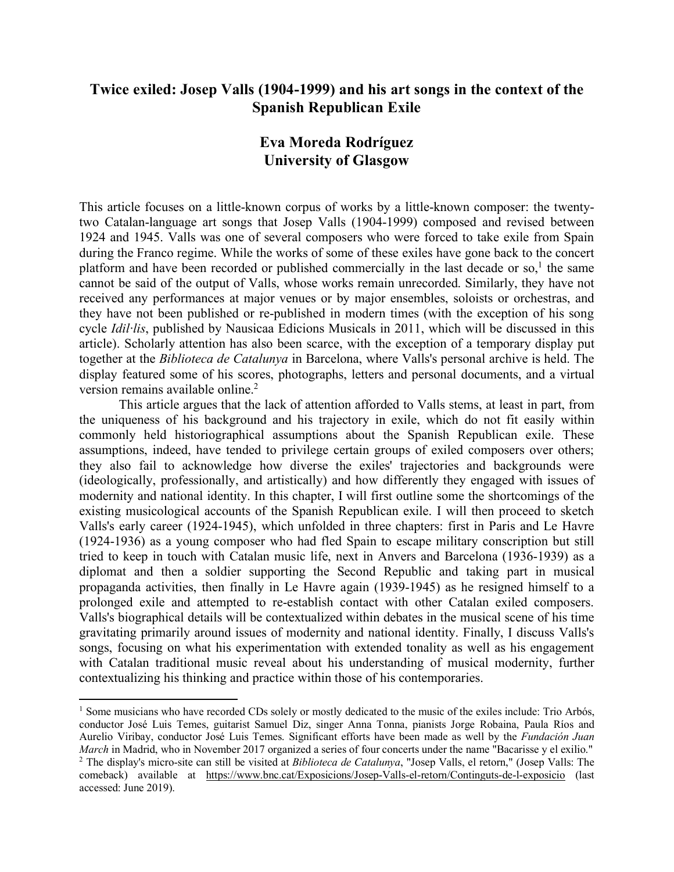# **Twice exiled: Josep Valls (1904-1999) and his art songs in the context of the Spanish Republican Exile**

# **Eva Moreda Rodríguez University of Glasgow**

This article focuses on a little-known corpus of works by a little-known composer: the twentytwo Catalan-language art songs that Josep Valls (1904-1999) composed and revised between 1924 and 1945. Valls was one of several composers who were forced to take exile from Spain during the Franco regime. While the works of some of these exiles have gone back to the concert platform and have been recorded or published commercially in the last decade or so,<sup>1</sup> the same cannot be said of the output of Valls, whose works remain unrecorded. Similarly, they have not received any performances at major venues or by major ensembles, soloists or orchestras, and they have not been published or re-published in modern times (with the exception of his song cycle *Idil·lis*, published by Nausicaa Edicions Musicals in 2011, which will be discussed in this article). Scholarly attention has also been scarce, with the exception of a temporary display put together at the *Biblioteca de Catalunya* in Barcelona, where Valls's personal archive is held. The display featured some of his scores, photographs, letters and personal documents, and a virtual version remains available online.<sup>2</sup>

This article argues that the lack of attention afforded to Valls stems, at least in part, from the uniqueness of his background and his trajectory in exile, which do not fit easily within commonly held historiographical assumptions about the Spanish Republican exile. These assumptions, indeed, have tended to privilege certain groups of exiled composers over others; they also fail to acknowledge how diverse the exiles' trajectories and backgrounds were (ideologically, professionally, and artistically) and how differently they engaged with issues of modernity and national identity. In this chapter, I will first outline some the shortcomings of the existing musicological accounts of the Spanish Republican exile. I will then proceed to sketch Valls's early career (1924-1945), which unfolded in three chapters: first in Paris and Le Havre (1924-1936) as a young composer who had fled Spain to escape military conscription but still tried to keep in touch with Catalan music life, next in Anvers and Barcelona (1936-1939) as a diplomat and then a soldier supporting the Second Republic and taking part in musical propaganda activities, then finally in Le Havre again (1939-1945) as he resigned himself to a prolonged exile and attempted to re-establish contact with other Catalan exiled composers. Valls's biographical details will be contextualized within debates in the musical scene of his time gravitating primarily around issues of modernity and national identity. Finally, I discuss Valls's songs, focusing on what his experimentation with extended tonality as well as his engagement with Catalan traditional music reveal about his understanding of musical modernity, further contextualizing his thinking and practice within those of his contemporaries.

 $\overline{a}$ <sup>1</sup> Some musicians who have recorded CDs solely or mostly dedicated to the music of the exiles include: Trio Arbós, conductor José Luis Temes, guitarist Samuel Diz, singer Anna Tonna, pianists Jorge Robaina, Paula Ríos and Aurelio Viribay, conductor José Luis Temes. Significant efforts have been made as well by the *Fundación Juan March* in Madrid, who in November 2017 organized a series of four concerts under the name "Bacarisse y el exilio."<br><sup>2</sup> The display's micro-site can still be visited at *Biblioteca de Catalunya*, "Josep Valls, el retorn," comeback) available at https://www.bnc.cat/Exposicions/Josep-Valls-el-retorn/Continguts-de-l-exposicio (last accessed: June 2019).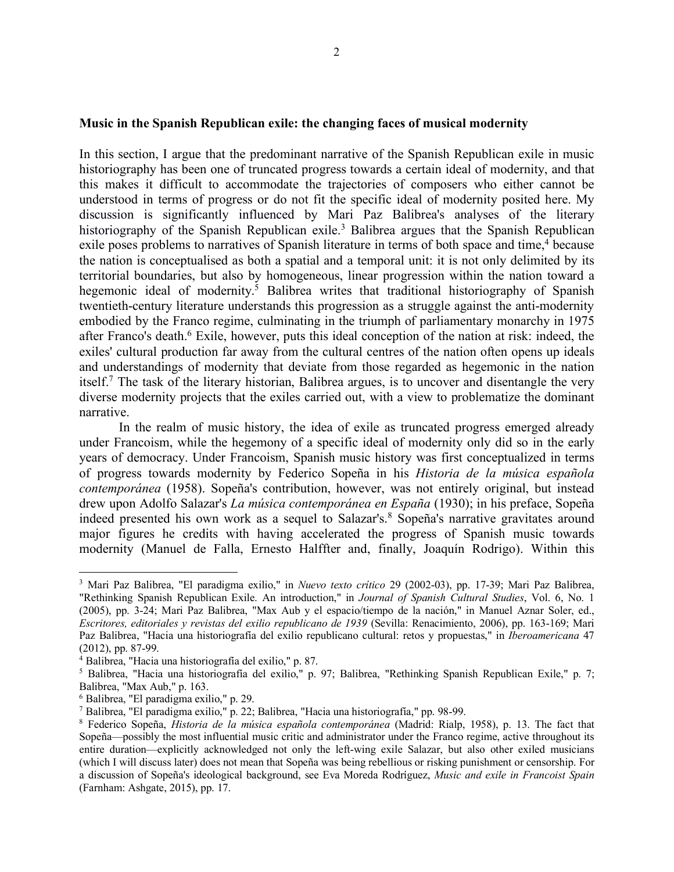### **Music in the Spanish Republican exile: the changing faces of musical modernity**

In this section, I argue that the predominant narrative of the Spanish Republican exile in music historiography has been one of truncated progress towards a certain ideal of modernity, and that this makes it difficult to accommodate the trajectories of composers who either cannot be understood in terms of progress or do not fit the specific ideal of modernity posited here. My discussion is significantly influenced by Mari Paz Balibrea's analyses of the literary historiography of the Spanish Republican exile.<sup>3</sup> Balibrea argues that the Spanish Republican exile poses problems to narratives of Spanish literature in terms of both space and time,<sup>4</sup> because the nation is conceptualised as both a spatial and a temporal unit: it is not only delimited by its territorial boundaries, but also by homogeneous, linear progression within the nation toward a hegemonic ideal of modernity.<sup>5</sup> Balibrea writes that traditional historiography of Spanish twentieth-century literature understands this progression as a struggle against the anti-modernity embodied by the Franco regime, culminating in the triumph of parliamentary monarchy in 1975 after Franco's death.6 Exile, however, puts this ideal conception of the nation at risk: indeed, the exiles' cultural production far away from the cultural centres of the nation often opens up ideals and understandings of modernity that deviate from those regarded as hegemonic in the nation itself.7 The task of the literary historian, Balibrea argues, is to uncover and disentangle the very diverse modernity projects that the exiles carried out, with a view to problematize the dominant narrative.

In the realm of music history, the idea of exile as truncated progress emerged already under Francoism, while the hegemony of a specific ideal of modernity only did so in the early years of democracy. Under Francoism, Spanish music history was first conceptualized in terms of progress towards modernity by Federico Sopeña in his *Historia de la música española contemporánea* (1958). Sopeña's contribution, however, was not entirely original, but instead drew upon Adolfo Salazar's *La música contemporánea en España* (1930); in his preface, Sopeña indeed presented his own work as a sequel to Salazar's.<sup>8</sup> Sopeña's narrative gravitates around major figures he credits with having accelerated the progress of Spanish music towards modernity (Manuel de Falla, Ernesto Halffter and, finally, Joaquín Rodrigo). Within this

 $\overline{\phantom{a}}$ 

<sup>3</sup> Mari Paz Balibrea, "El paradigma exilio," in *Nuevo texto crítico* 29 (2002-03), pp. 17-39; Mari Paz Balibrea, "Rethinking Spanish Republican Exile. An introduction," in *Journal of Spanish Cultural Studies*, Vol. 6, No. 1 (2005), pp. 3-24; Mari Paz Balibrea, "Max Aub y el espacio/tiempo de la nación," in Manuel Aznar Soler, ed., *Escritores, editoriales y revistas del exilio republicano de 1939* (Sevilla: Renacimiento, 2006), pp. 163-169; Mari Paz Balibrea, "Hacia una historiografía del exilio republicano cultural: retos y propuestas," in *Iberoamericana* 47 (2012), pp. 87-99.

<sup>4</sup> Balibrea, "Hacia una historiografía del exilio," p. 87.

<sup>5</sup> Balibrea, "Hacia una historiografía del exilio," p. 97; Balibrea, "Rethinking Spanish Republican Exile," p. 7; Balibrea, "Max Aub," p. 163.

<sup>6</sup> Balibrea, "El paradigma exilio," p. 29.

<sup>7</sup> Balibrea, "El paradigma exilio," p. 22; Balibrea, "Hacia una historiografía," pp. 98-99.

<sup>8</sup> Federico Sopeña, *Historia de la música española contemporánea* (Madrid: Rialp, 1958), p. 13. The fact that Sopeña––possibly the most influential music critic and administrator under the Franco regime, active throughout its entire duration––explicitly acknowledged not only the left-wing exile Salazar, but also other exiled musicians (which I will discuss later) does not mean that Sopeña was being rebellious or risking punishment or censorship. For a discussion of Sopeña's ideological background, see Eva Moreda Rodríguez, *Music and exile in Francoist Spain*  (Farnham: Ashgate, 2015), pp. 17.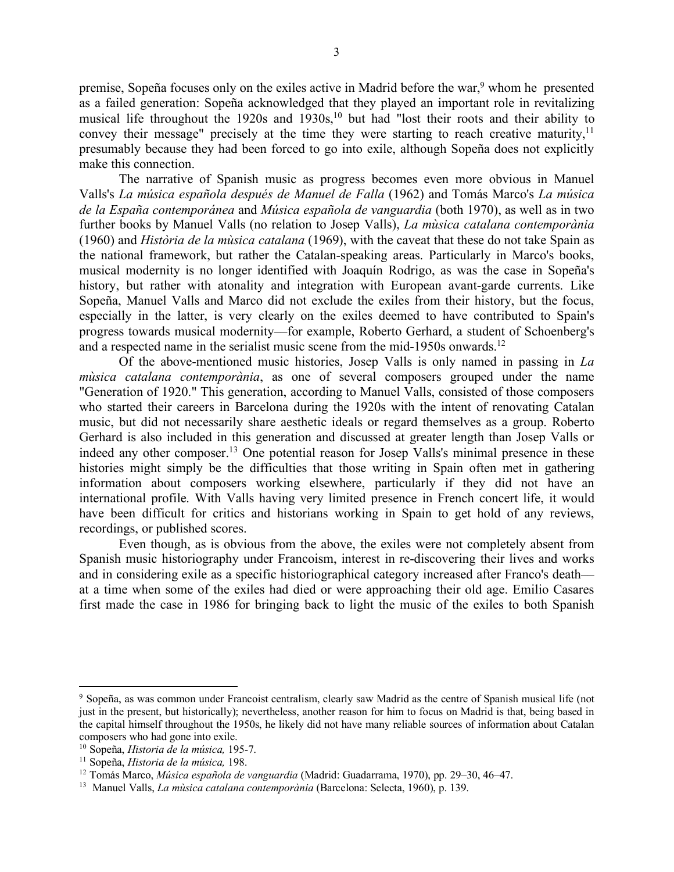premise, Sopeña focuses only on the exiles active in Madrid before the war,<sup>9</sup> whom he presented as a failed generation: Sopeña acknowledged that they played an important role in revitalizing musical life throughout the  $1920s$  and  $1930s$ ,<sup>10</sup> but had "lost their roots and their ability to convey their message" precisely at the time they were starting to reach creative maturity.<sup>11</sup> presumably because they had been forced to go into exile, although Sopeña does not explicitly make this connection.

The narrative of Spanish music as progress becomes even more obvious in Manuel Valls's *La música española después de Manuel de Falla* (1962) and Tomás Marco's *La música de la España contemporánea* and *Música española de vanguardia* (both 1970), as well as in two further books by Manuel Valls (no relation to Josep Valls), *La mùsica catalana contemporània* (1960) and *Història de la mùsica catalana* (1969), with the caveat that these do not take Spain as the national framework, but rather the Catalan-speaking areas. Particularly in Marco's books, musical modernity is no longer identified with Joaquín Rodrigo, as was the case in Sopeña's history, but rather with atonality and integration with European avant-garde currents. Like Sopeña, Manuel Valls and Marco did not exclude the exiles from their history, but the focus, especially in the latter, is very clearly on the exiles deemed to have contributed to Spain's progress towards musical modernity––for example, Roberto Gerhard, a student of Schoenberg's and a respected name in the serialist music scene from the mid-1950s onwards.<sup>12</sup>

Of the above-mentioned music histories, Josep Valls is only named in passing in *La mùsica catalana contemporània*, as one of several composers grouped under the name "Generation of 1920." This generation, according to Manuel Valls, consisted of those composers who started their careers in Barcelona during the 1920s with the intent of renovating Catalan music, but did not necessarily share aesthetic ideals or regard themselves as a group. Roberto Gerhard is also included in this generation and discussed at greater length than Josep Valls or indeed any other composer.<sup>13</sup> One potential reason for Josep Valls's minimal presence in these histories might simply be the difficulties that those writing in Spain often met in gathering information about composers working elsewhere, particularly if they did not have an international profile. With Valls having very limited presence in French concert life, it would have been difficult for critics and historians working in Spain to get hold of any reviews, recordings, or published scores.

Even though, as is obvious from the above, the exiles were not completely absent from Spanish music historiography under Francoism, interest in re-discovering their lives and works and in considering exile as a specific historiographical category increased after Franco's death–– at a time when some of the exiles had died or were approaching their old age. Emilio Casares first made the case in 1986 for bringing back to light the music of the exiles to both Spanish

<sup>9</sup> Sopeña, as was common under Francoist centralism, clearly saw Madrid as the centre of Spanish musical life (not just in the present, but historically); nevertheless, another reason for him to focus on Madrid is that, being based in the capital himself throughout the 1950s, he likely did not have many reliable sources of information about Catalan composers who had gone into exile.

<sup>10</sup> Sopeña, *Historia de la música,* 195-7.

<sup>&</sup>lt;sup>11</sup> Sopeña, *Historia de la música*, 198.<br><sup>12</sup> Tomás Marco, *Música española de vanguardia* (Madrid: Guadarrama, 1970), pp. 29–30, 46–47.

<sup>13</sup> Manuel Valls, *La mùsica catalana contemporània* (Barcelona: Selecta, 1960), p. 139.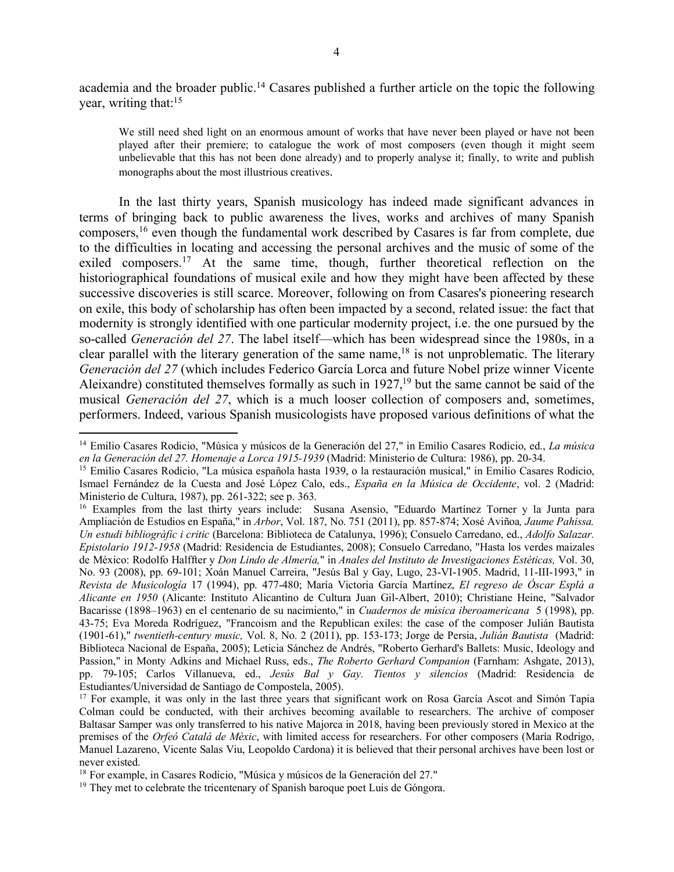academia and the broader public.14 Casares published a further article on the topic the following year, writing that:15

We still need shed light on an enormous amount of works that have never been played or have not been played after their premiere; to catalogue the work of most composers (even though it might seem unbelievable that this has not been done already) and to properly analyse it; finally, to write and publish monographs about the most illustrious creatives.

In the last thirty years, Spanish musicology has indeed made significant advances in terms of bringing back to public awareness the lives, works and archives of many Spanish composers,16 even though the fundamental work described by Casares is far from complete, due to the difficulties in locating and accessing the personal archives and the music of some of the exiled composers.<sup>17</sup> At the same time, though, further theoretical reflection on the historiographical foundations of musical exile and how they might have been affected by these successive discoveries is still scarce. Moreover, following on from Casares's pioneering research on exile, this body of scholarship has often been impacted by a second, related issue: the fact that modernity is strongly identified with one particular modernity project, i.e. the one pursued by the so-called *Generación del 27*. The label itself––which has been widespread since the 1980s, in a clear parallel with the literary generation of the same name,<sup>18</sup> is not unproblematic. The literary *Generación del 27* (which includes Federico García Lorca and future Nobel prize winner Vicente Aleixandre) constituted themselves formally as such in 1927,<sup>19</sup> but the same cannot be said of the musical *Generación del 27*, which is a much looser collection of composers and, sometimes, performers. Indeed, various Spanish musicologists have proposed various definitions of what the

<sup>14</sup> Emilio Casares Rodicio, "Música y músicos de la Generación del 27," in Emilio Casares Rodicio, ed., *La música en la Generación del 27. Homenaje a Lorca 1915-1939* (Madrid: Ministerio de Cultura: 1986), pp. 20-34.

<sup>&</sup>lt;sup>15</sup> Emilio Casares Rodicio, "La música española hasta 1939, o la restauración musical," in Emilio Casares Rodicio, Ismael Fernández de la Cuesta and José López Calo, eds., *España en la Música de Occidente*, vol. 2 (Madrid: Ministerio de Cultura, 1987), pp. 261-322; see p. 363.<br><sup>16</sup> Examples from the last thirty years include: Susana Asensio, "Eduardo Martínez Torner y la Junta para

Ampliación de Estudios en España," in *Arbor*, Vol. 187, No. 751 (2011), pp. 857-874; Xosé Aviñoa*, Jaume Pahissa. Un estudi bibliogràfic i critic* (Barcelona: Biblioteca de Catalunya, 1996); Consuelo Carredano, ed., *Adolfo Salazar. Epistolario 1912-1958* (Madrid: Residencia de Estudiantes, 2008); Consuelo Carredano, "Hasta los verdes maizales de México: Rodolfo Halffter y *Don Lindo de Almería,*" in *Anales del Instituto de Investigaciones Estéticas,* Vol. 30, No. 93 (2008), pp. 69-101; Xoán Manuel Carreira, "Jesús Bal y Gay, Lugo, 23-VI-1905. Madrid, 11-III-1993," in *Revista de Musicología* 17 (1994), pp. 477-480; María Victoria García Martínez, *El regreso de Óscar Esplá a Alicante en 1950* (Alicante: Instituto Alicantino de Cultura Juan Gil-Albert, 2010); Christiane Heine, "Salvador Bacarisse (1898–1963) en el centenario de su nacimiento," in *Cuadernos de música iberoamericana* 5 (1998), pp. 43-75; Eva Moreda Rodríguez, "Francoism and the Republican exiles: the case of the composer Julián Bautista (1901-61)," *twentieth-century music,* Vol. 8, No. 2 (2011), pp. 153-173; Jorge de Persia, *Julián Bautista* (Madrid: Biblioteca Nacional de España, 2005); Leticia Sánchez de Andrés, "Roberto Gerhard's Ballets: Music, Ideology and Passion," in Monty Adkins and Michael Russ, eds., *The Roberto Gerhard Companion* (Farnham: Ashgate, 2013), pp. 79-105; Carlos Villanueva, ed., *Jesús Bal y Gay. Tientos y silencios* (Madrid: Residencia de

<sup>&</sup>lt;sup>17</sup> For example, it was only in the last three years that significant work on Rosa García Ascot and Simón Tapia Colman could be conducted, with their archives becoming available to researchers. The archive of composer Baltasar Samper was only transferred to his native Majorca in 2018, having been previously stored in Mexico at the premises of the *Orfeó Catalá de Mèxic*, with limited access for researchers. For other composers (María Rodrigo, Manuel Lazareno, Vicente Salas Viu, Leopoldo Cardona) it is believed that their personal archives have been lost or never existed.

<sup>18</sup> For example, in Casares Rodicio, "Música y músicos de la Generación del 27."

<sup>&</sup>lt;sup>19</sup> They met to celebrate the tricentenary of Spanish baroque poet Luis de Góngora.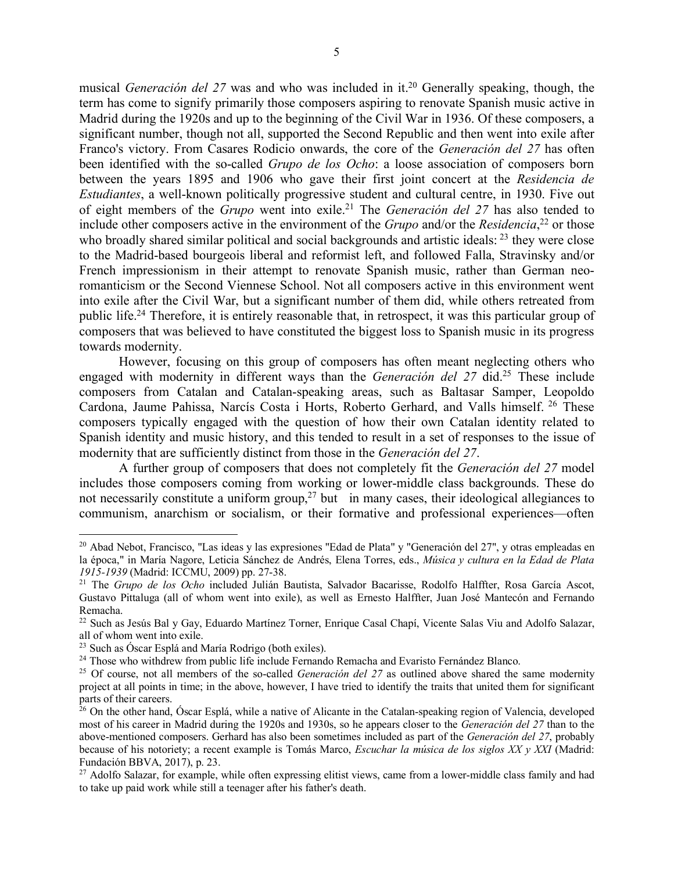musical *Generación del 27* was and who was included in it.<sup>20</sup> Generally speaking, though, the term has come to signify primarily those composers aspiring to renovate Spanish music active in Madrid during the 1920s and up to the beginning of the Civil War in 1936. Of these composers, a significant number, though not all, supported the Second Republic and then went into exile after Franco's victory. From Casares Rodicio onwards, the core of the *Generación del 27* has often been identified with the so-called *Grupo de los Ocho*: a loose association of composers born between the years 1895 and 1906 who gave their first joint concert at the *Residencia de Estudiantes*, a well-known politically progressive student and cultural centre, in 1930. Five out of eight members of the *Grupo* went into exile.21 The *Generación del 27* has also tended to include other composers active in the environment of the *Grupo* and/or the *Residencia*, <sup>22</sup> or those who broadly shared similar political and social backgrounds and artistic ideals: <sup>23</sup> they were close to the Madrid-based bourgeois liberal and reformist left, and followed Falla, Stravinsky and/or French impressionism in their attempt to renovate Spanish music, rather than German neoromanticism or the Second Viennese School. Not all composers active in this environment went into exile after the Civil War, but a significant number of them did, while others retreated from public life.24 Therefore, it is entirely reasonable that, in retrospect, it was this particular group of composers that was believed to have constituted the biggest loss to Spanish music in its progress towards modernity.

However, focusing on this group of composers has often meant neglecting others who engaged with modernity in different ways than the *Generación del 27* did.<sup>25</sup> These include composers from Catalan and Catalan-speaking areas, such as Baltasar Samper, Leopoldo Cardona, Jaume Pahissa, Narcís Costa i Horts, Roberto Gerhard, and Valls himself. <sup>26</sup> These composers typically engaged with the question of how their own Catalan identity related to Spanish identity and music history, and this tended to result in a set of responses to the issue of modernity that are sufficiently distinct from those in the *Generación del 27*.

A further group of composers that does not completely fit the *Generación del 27* model includes those composers coming from working or lower-middle class backgrounds. These do not necessarily constitute a uniform group,<sup>27</sup> but in many cases, their ideological allegiances to communism, anarchism or socialism, or their formative and professional experiences––often

<sup>20</sup> Abad Nebot, Francisco, "Las ideas y las expresiones "Edad de Plata" y "Generación del 27", y otras empleadas en la época," in María Nagore, Leticia Sánchez de Andrés, Elena Torres, eds., *Música y cultura en la Edad de Plata 1915-1939* (Madrid: ICCMU, 2009) pp. 27-38.

<sup>21</sup> The *Grupo de los Ocho* included Julián Bautista, Salvador Bacarisse, Rodolfo Halffter, Rosa García Ascot, Gustavo Pittaluga (all of whom went into exile), as well as Ernesto Halffter, Juan José Mantecón and Fernando Remacha.

<sup>&</sup>lt;sup>22</sup> Such as Jesús Bal y Gay, Eduardo Martínez Torner, Enrique Casal Chapí, Vicente Salas Viu and Adolfo Salazar, all of whom went into exile.

<sup>23</sup> Such as Óscar Esplá and María Rodrigo (both exiles).

<sup>&</sup>lt;sup>24</sup> Those who withdrew from public life include Fernando Remacha and Evaristo Fernández Blanco.

<sup>&</sup>lt;sup>25</sup> Of course, not all members of the so-called *Generación del 27* as outlined above shared the same modernity project at all points in time; in the above, however, I have tried to identify the traits that united them for significant parts of their careers.

<sup>&</sup>lt;sup>26</sup> On the other hand, Óscar Esplá, while a native of Alicante in the Catalan-speaking region of Valencia, developed most of his career in Madrid during the 1920s and 1930s, so he appears closer to the *Generación del 27* than to the above-mentioned composers. Gerhard has also been sometimes included as part of the *Generación del 27*, probably because of his notoriety; a recent example is Tomás Marco, *Escuchar la música de los siglos XX y XXI* (Madrid: Fundación BBVA, 2017), p. 23.

<sup>&</sup>lt;sup>27</sup> Adolfo Salazar, for example, while often expressing elitist views, came from a lower-middle class family and had to take up paid work while still a teenager after his father's death.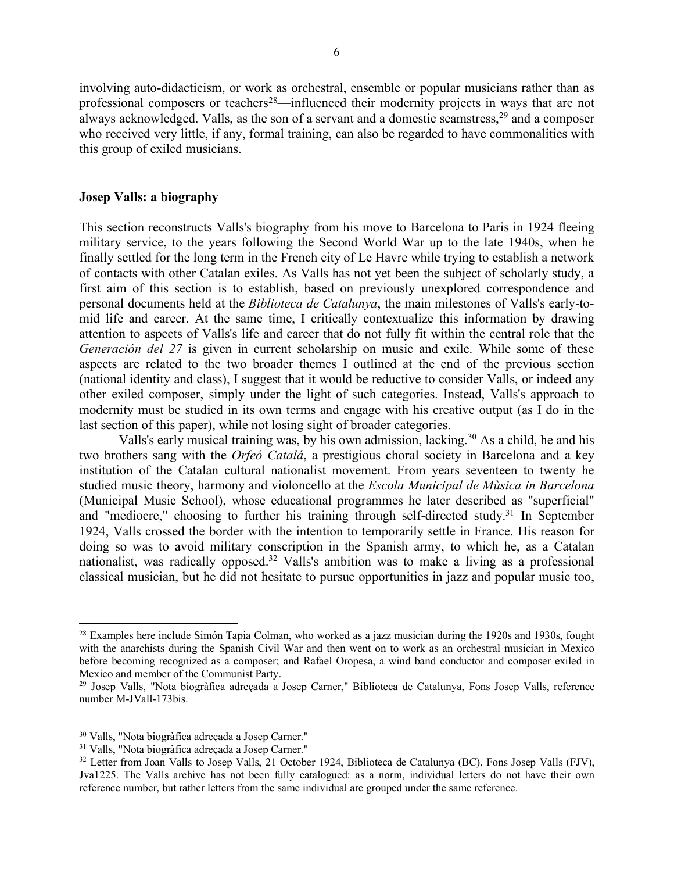involving auto-didacticism, or work as orchestral, ensemble or popular musicians rather than as professional composers or teachers<sup>28</sup>—influenced their modernity projects in ways that are not always acknowledged. Valls, as the son of a servant and a domestic seamstress,29 and a composer who received very little, if any, formal training, can also be regarded to have commonalities with this group of exiled musicians.

#### **Josep Valls: a biography**

This section reconstructs Valls's biography from his move to Barcelona to Paris in 1924 fleeing military service, to the years following the Second World War up to the late 1940s, when he finally settled for the long term in the French city of Le Havre while trying to establish a network of contacts with other Catalan exiles. As Valls has not yet been the subject of scholarly study, a first aim of this section is to establish, based on previously unexplored correspondence and personal documents held at the *Biblioteca de Catalunya*, the main milestones of Valls's early-tomid life and career. At the same time, I critically contextualize this information by drawing attention to aspects of Valls's life and career that do not fully fit within the central role that the *Generación del 27* is given in current scholarship on music and exile. While some of these aspects are related to the two broader themes I outlined at the end of the previous section (national identity and class), I suggest that it would be reductive to consider Valls, or indeed any other exiled composer, simply under the light of such categories. Instead, Valls's approach to modernity must be studied in its own terms and engage with his creative output (as I do in the last section of this paper), while not losing sight of broader categories.

Valls's early musical training was, by his own admission, lacking.30 As a child, he and his two brothers sang with the *Orfeó Catalá*, a prestigious choral society in Barcelona and a key institution of the Catalan cultural nationalist movement. From years seventeen to twenty he studied music theory, harmony and violoncello at the *Escola Municipal de Mùsica in Barcelona* (Municipal Music School), whose educational programmes he later described as "superficial" and "mediocre," choosing to further his training through self-directed study.<sup>31</sup> In September 1924, Valls crossed the border with the intention to temporarily settle in France. His reason for doing so was to avoid military conscription in the Spanish army, to which he, as a Catalan nationalist, was radically opposed.32 Valls's ambition was to make a living as a professional classical musician, but he did not hesitate to pursue opportunities in jazz and popular music too,

 $\overline{\phantom{a}}$ 

<sup>&</sup>lt;sup>28</sup> Examples here include Simón Tapia Colman, who worked as a jazz musician during the 1920s and 1930s, fought with the anarchists during the Spanish Civil War and then went on to work as an orchestral musician in Mexico before becoming recognized as a composer; and Rafael Oropesa, a wind band conductor and composer exiled in Mexico and member of the Communist Party.<br><sup>29</sup> Josep Valls, "Nota biogràfica adreçada a Josep Carner," Biblioteca de Catalunya, Fons Josep Valls, reference

number M-JVall-173bis.

<sup>30</sup> Valls, "Nota biogràfica adreçada a Josep Carner."

<sup>31</sup> Valls, "Nota biogràfica adreçada a Josep Carner."

<sup>&</sup>lt;sup>32</sup> Letter from Joan Valls to Josep Valls, 21 October 1924, Biblioteca de Catalunya (BC), Fons Josep Valls (FJV), Jva1225. The Valls archive has not been fully catalogued: as a norm, individual letters do not have their own reference number, but rather letters from the same individual are grouped under the same reference.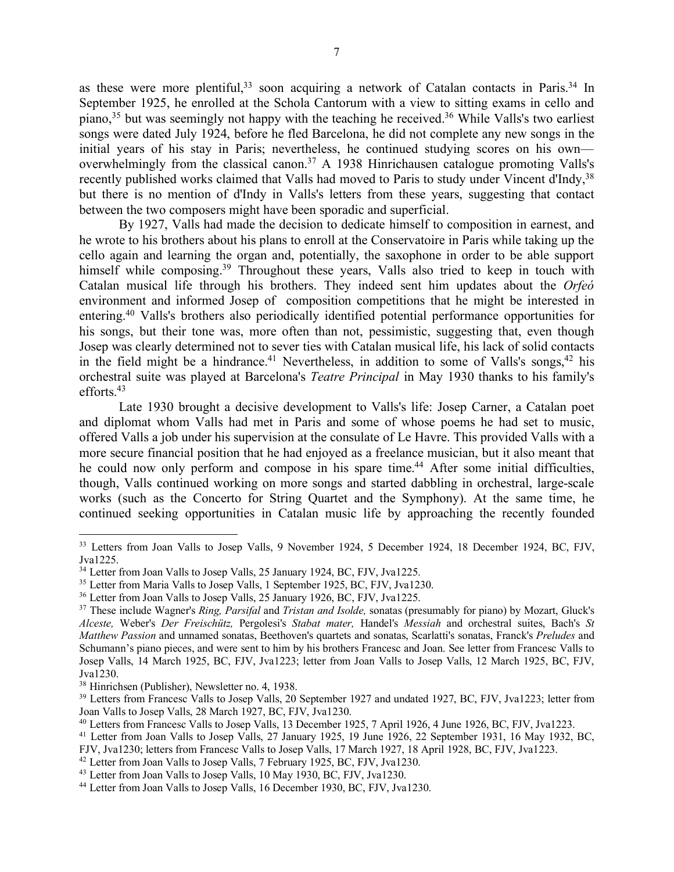as these were more plentiful,<sup>33</sup> soon acquiring a network of Catalan contacts in Paris.<sup>34</sup> In September 1925, he enrolled at the Schola Cantorum with a view to sitting exams in cello and piano,35 but was seemingly not happy with the teaching he received.36 While Valls's two earliest songs were dated July 1924, before he fled Barcelona, he did not complete any new songs in the initial years of his stay in Paris; nevertheless, he continued studying scores on his own–– overwhelmingly from the classical canon.<sup>37</sup> A 1938 Hinrichausen catalogue promoting Valls's recently published works claimed that Valls had moved to Paris to study under Vincent d'Indy,<sup>38</sup> but there is no mention of d'Indy in Valls's letters from these years, suggesting that contact between the two composers might have been sporadic and superficial.

By 1927, Valls had made the decision to dedicate himself to composition in earnest, and he wrote to his brothers about his plans to enroll at the Conservatoire in Paris while taking up the cello again and learning the organ and, potentially, the saxophone in order to be able support himself while composing.<sup>39</sup> Throughout these years, Valls also tried to keep in touch with Catalan musical life through his brothers. They indeed sent him updates about the *Orfeó* environment and informed Josep of composition competitions that he might be interested in entering.40 Valls's brothers also periodically identified potential performance opportunities for his songs, but their tone was, more often than not, pessimistic, suggesting that, even though Josep was clearly determined not to sever ties with Catalan musical life, his lack of solid contacts in the field might be a hindrance.<sup>41</sup> Nevertheless, in addition to some of Valls's songs,<sup>42</sup> his orchestral suite was played at Barcelona's *Teatre Principal* in May 1930 thanks to his family's efforts.43

Late 1930 brought a decisive development to Valls's life: Josep Carner, a Catalan poet and diplomat whom Valls had met in Paris and some of whose poems he had set to music, offered Valls a job under his supervision at the consulate of Le Havre. This provided Valls with a more secure financial position that he had enjoyed as a freelance musician, but it also meant that he could now only perform and compose in his spare time.<sup>44</sup> After some initial difficulties, though, Valls continued working on more songs and started dabbling in orchestral, large-scale works (such as the Concerto for String Quartet and the Symphony). At the same time, he continued seeking opportunities in Catalan music life by approaching the recently founded

<sup>&</sup>lt;sup>33</sup> Letters from Joan Valls to Josep Valls, 9 November 1924, 5 December 1924, 18 December 1924, BC, FJV, Jva1225.

<sup>&</sup>lt;sup>34</sup> Letter from Joan Valls to Josep Valls, 25 January 1924, BC, FJV, Jva1225.

<sup>&</sup>lt;sup>35</sup> Letter from Maria Valls to Josep Valls, 1 September 1925, BC, FJV, Jva1230.<br><sup>36</sup> Letter from Joan Valls to Josep Valls, 25 January 1926, BC, FJV, Jva1225.

<sup>37</sup> These include Wagner's *Ring, Parsifal* and *Tristan and Isolde,* sonatas (presumably for piano) by Mozart, Gluck's *Alceste,* Weber's *Der Freischütz,* Pergolesi's *Stabat mater,* Handel's *Messiah* and orchestral suites, Bach's *St Matthew Passion* and unnamed sonatas, Beethoven's quartets and sonatas, Scarlatti's sonatas, Franck's *Preludes* and Schumann's piano pieces, and were sent to him by his brothers Francesc and Joan. See letter from Francesc Valls to Josep Valls, 14 March 1925, BC, FJV, Jva1223; letter from Joan Valls to Josep Valls, 12 March 1925, BC, FJV, Jva1230.<br><sup>38</sup> Hinrichsen (Publisher), Newsletter no. 4, 1938.

<sup>&</sup>lt;sup>39</sup> Letters from Francesc Valls to Josep Valls, 20 September 1927 and undated 1927, BC, FJV, Jva1223; letter from Joan Valls to Josep Valls, 28 March 1927, BC, FJV, Jva1230.

<sup>40</sup> Letters from Francesc Valls to Josep Valls, 13 December 1925, 7 April 1926, 4 June 1926, BC, FJV, Jva1223.

<sup>41</sup> Letter from Joan Valls to Josep Valls, 27 January 1925, 19 June 1926, 22 September 1931, 16 May 1932, BC, FJV, Jva1230; letters from Francesc Valls to Josep Valls, 17 March 1927, 18 April 1928, BC, FJV, Jva1223.

<sup>&</sup>lt;sup>42</sup> Letter from Joan Valls to Josep Valls, 7 February 1925, BC, FJV, Jva1230.

<sup>43</sup> Letter from Joan Valls to Josep Valls, 10 May 1930, BC, FJV, Jva1230.

<sup>44</sup> Letter from Joan Valls to Josep Valls, 16 December 1930, BC, FJV, Jva1230.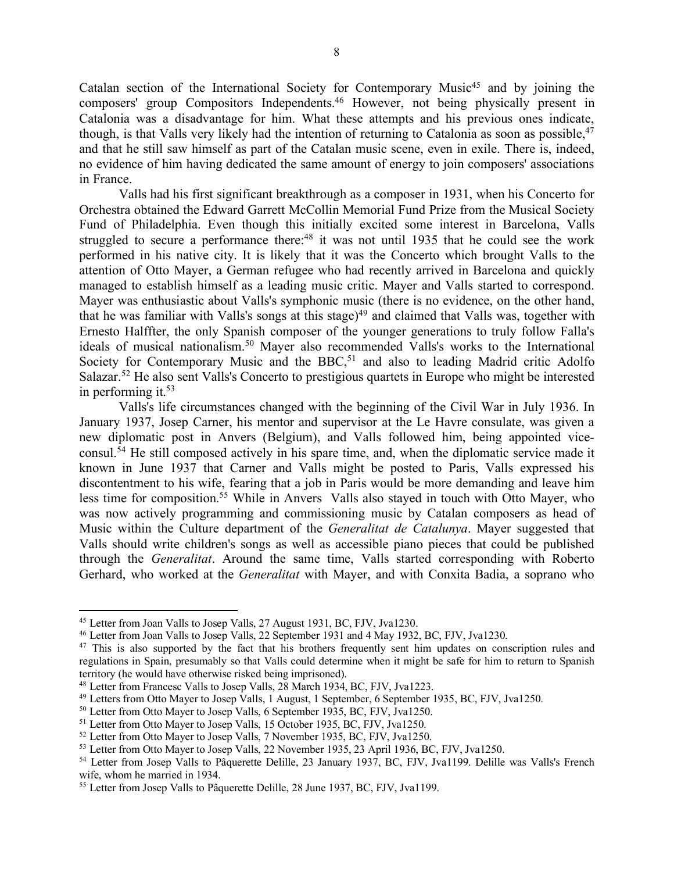Catalan section of the International Society for Contemporary Music<sup>45</sup> and by joining the composers' group Compositors Independents.46 However, not being physically present in Catalonia was a disadvantage for him. What these attempts and his previous ones indicate, though, is that Valls very likely had the intention of returning to Catalonia as soon as possible, <sup>47</sup> and that he still saw himself as part of the Catalan music scene, even in exile. There is, indeed, no evidence of him having dedicated the same amount of energy to join composers' associations in France.

Valls had his first significant breakthrough as a composer in 1931, when his Concerto for Orchestra obtained the Edward Garrett McCollin Memorial Fund Prize from the Musical Society Fund of Philadelphia. Even though this initially excited some interest in Barcelona, Valls struggled to secure a performance there:<sup>48</sup> it was not until 1935 that he could see the work performed in his native city. It is likely that it was the Concerto which brought Valls to the attention of Otto Mayer, a German refugee who had recently arrived in Barcelona and quickly managed to establish himself as a leading music critic. Mayer and Valls started to correspond. Mayer was enthusiastic about Valls's symphonic music (there is no evidence, on the other hand, that he was familiar with Valls's songs at this stage)<sup>49</sup> and claimed that Valls was, together with Ernesto Halffter, the only Spanish composer of the younger generations to truly follow Falla's ideals of musical nationalism.50 Mayer also recommended Valls's works to the International Society for Contemporary Music and the BBC,<sup>51</sup> and also to leading Madrid critic Adolfo Salazar.52 He also sent Valls's Concerto to prestigious quartets in Europe who might be interested in performing it. $53$ 

Valls's life circumstances changed with the beginning of the Civil War in July 1936. In January 1937, Josep Carner, his mentor and supervisor at the Le Havre consulate, was given a new diplomatic post in Anvers (Belgium), and Valls followed him, being appointed viceconsul.54 He still composed actively in his spare time, and, when the diplomatic service made it known in June 1937 that Carner and Valls might be posted to Paris, Valls expressed his discontentment to his wife, fearing that a job in Paris would be more demanding and leave him less time for composition.<sup>55</sup> While in Anvers Valls also stayed in touch with Otto Mayer, who was now actively programming and commissioning music by Catalan composers as head of Music within the Culture department of the *Generalitat de Catalunya*. Mayer suggested that Valls should write children's songs as well as accessible piano pieces that could be published through the *Generalitat*. Around the same time, Valls started corresponding with Roberto Gerhard, who worked at the *Generalitat* with Mayer, and with Conxita Badia, a soprano who

<sup>45</sup> Letter from Joan Valls to Josep Valls, 27 August 1931, BC, FJV, Jva1230.

<sup>46</sup> Letter from Joan Valls to Josep Valls, 22 September 1931 and 4 May 1932, BC, FJV, Jva1230.

<sup>&</sup>lt;sup>47</sup> This is also supported by the fact that his brothers frequently sent him updates on conscription rules and regulations in Spain, presumably so that Valls could determine when it might be safe for him to return to Spanish territory (he would have otherwise risked being imprisoned).

<sup>48</sup> Letter from Francesc Valls to Josep Valls, 28 March 1934, BC, FJV, Jva1223.

<sup>49</sup> Letters from Otto Mayer to Josep Valls, 1 August, 1 September, 6 September 1935, BC, FJV, Jva1250.

<sup>&</sup>lt;sup>50</sup> Letter from Otto Mayer to Josep Valls, 6 September 1935, BC, FJV, Jva1250.

<sup>51</sup> Letter from Otto Mayer to Josep Valls, 15 October 1935, BC, FJV, Jva1250.

<sup>&</sup>lt;sup>52</sup> Letter from Otto Mayer to Josep Valls, 7 November 1935, BC, FJV, Jva1250.

<sup>53</sup> Letter from Otto Mayer to Josep Valls, 22 November 1935, 23 April 1936, BC, FJV, Jva1250.

<sup>54</sup> Letter from Josep Valls to Pâquerette Delille, 23 January 1937, BC, FJV, Jva1199. Delille was Valls's French wife, whom he married in 1934.

<sup>&</sup>lt;sup>55</sup> Letter from Josep Valls to Pâquerette Delille, 28 June 1937, BC, FJV, Jva1199.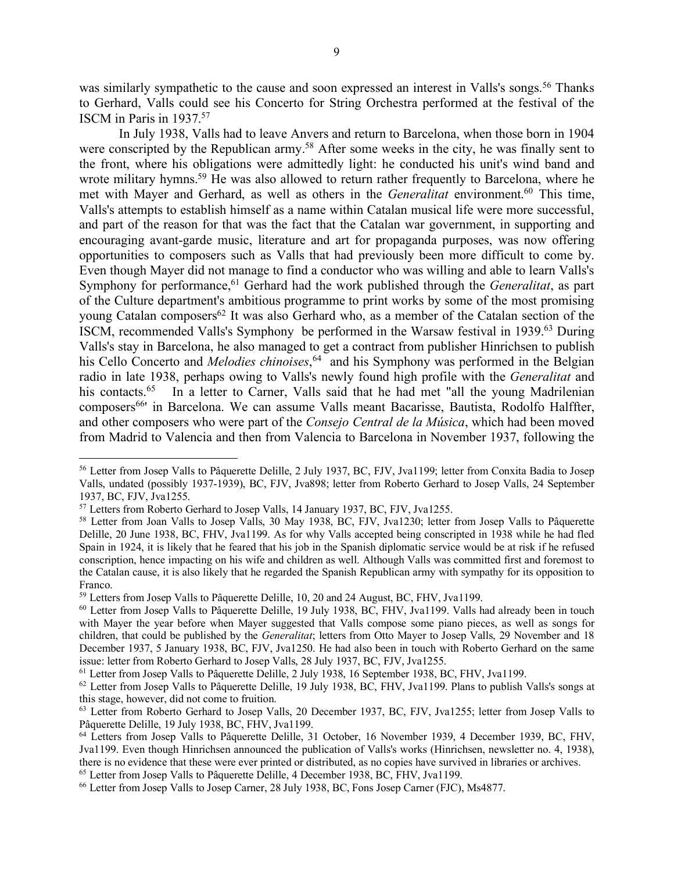was similarly sympathetic to the cause and soon expressed an interest in Valls's songs.<sup>56</sup> Thanks to Gerhard, Valls could see his Concerto for String Orchestra performed at the festival of the ISCM in Paris in 1937.57

In July 1938, Valls had to leave Anvers and return to Barcelona, when those born in 1904 were conscripted by the Republican army.<sup>58</sup> After some weeks in the city, he was finally sent to the front, where his obligations were admittedly light: he conducted his unit's wind band and wrote military hymns.<sup>59</sup> He was also allowed to return rather frequently to Barcelona, where he met with Mayer and Gerhard, as well as others in the *Generalitat* environment.<sup>60</sup> This time, Valls's attempts to establish himself as a name within Catalan musical life were more successful, and part of the reason for that was the fact that the Catalan war government, in supporting and encouraging avant-garde music, literature and art for propaganda purposes, was now offering opportunities to composers such as Valls that had previously been more difficult to come by. Even though Mayer did not manage to find a conductor who was willing and able to learn Valls's Symphony for performance,<sup>61</sup> Gerhard had the work published through the *Generalitat*, as part of the Culture department's ambitious programme to print works by some of the most promising young Catalan composers<sup>62</sup> It was also Gerhard who, as a member of the Catalan section of the ISCM, recommended Valls's Symphony be performed in the Warsaw festival in 1939.63 During Valls's stay in Barcelona, he also managed to get a contract from publisher Hinrichsen to publish his Cello Concerto and *Melodies chinoises*, 64 and his Symphony was performed in the Belgian radio in late 1938, perhaps owing to Valls's newly found high profile with the *Generalitat* and his contacts.<sup>65</sup> In a letter to Carner, Valls said that he had met "all the young Madrilenian" composers<sup>66</sup> in Barcelona. We can assume Valls meant Bacarisse, Bautista, Rodolfo Halffter, and other composers who were part of the *Consejo Central de la Música*, which had been moved from Madrid to Valencia and then from Valencia to Barcelona in November 1937, following the

<sup>56</sup> Letter from Josep Valls to Pâquerette Delille, 2 July 1937, BC, FJV, Jva1199; letter from Conxita Badia to Josep Valls, undated (possibly 1937-1939), BC, FJV, Jva898; letter from Roberto Gerhard to Josep Valls, 24 September 1937, BC, FJV, Jva1255.

<sup>57</sup> Letters from Roberto Gerhard to Josep Valls, 14 January 1937, BC, FJV, Jva1255.

<sup>&</sup>lt;sup>58</sup> Letter from Joan Valls to Josep Valls, 30 May 1938, BC, FJV, Jva1230; letter from Josep Valls to Pâquerette Delille, 20 June 1938, BC, FHV, Jva1199. As for why Valls accepted being conscripted in 1938 while he had fled Spain in 1924, it is likely that he feared that his job in the Spanish diplomatic service would be at risk if he refused conscription, hence impacting on his wife and children as well. Although Valls was committed first and foremost to the Catalan cause, it is also likely that he regarded the Spanish Republican army with sympathy for its opposition to Franco.

<sup>59</sup> Letters from Josep Valls to Pâquerette Delille, 10, 20 and 24 August, BC, FHV, Jva1199.

<sup>&</sup>lt;sup>60</sup> Letter from Josep Valls to Pâquerette Delille, 19 July 1938, BC, FHV, Jva1199. Valls had already been in touch with Mayer the year before when Mayer suggested that Valls compose some piano pieces, as well as songs for children, that could be published by the *Generalitat*; letters from Otto Mayer to Josep Valls, 29 November and 18 December 1937, 5 January 1938, BC, FJV, Jva1250. He had also been in touch with Roberto Gerhard on the same issue: letter from Roberto Gerhard to Josep Valls, 28 July 1937, BC, FJV, Jva1255.

<sup>61</sup> Letter from Josep Valls to Pâquerette Delille, 2 July 1938, 16 September 1938, BC, FHV, Jva1199.

 $62$  Letter from Josep Valls to Pâquerette Delille, 19 July 1938, BC, FHV, Jva1199. Plans to publish Valls's songs at this stage, however, did not come to fruition.

<sup>&</sup>lt;sup>63</sup> Letter from Roberto Gerhard to Josep Valls, 20 December 1937, BC, FJV, Jva1255; letter from Josep Valls to Pâquerette Delille, 19 July 1938, BC, FHV, Jva1199.

<sup>&</sup>lt;sup>64</sup> Letters from Josep Valls to Pâquerette Delille, 31 October, 16 November 1939, 4 December 1939, BC, FHV, Jva1199. Even though Hinrichsen announced the publication of Valls's works (Hinrichsen, newsletter no. 4, 1938), there is no evidence that these were ever printed or distributed, as no copies have survived in libraries or archives. <sup>65</sup> Letter from Josep Valls to Pâquerette Delille, 4 December 1938, BC, FHV, Jva1199.

<sup>66</sup> Letter from Josep Valls to Josep Carner, 28 July 1938, BC, Fons Josep Carner (FJC), Ms4877.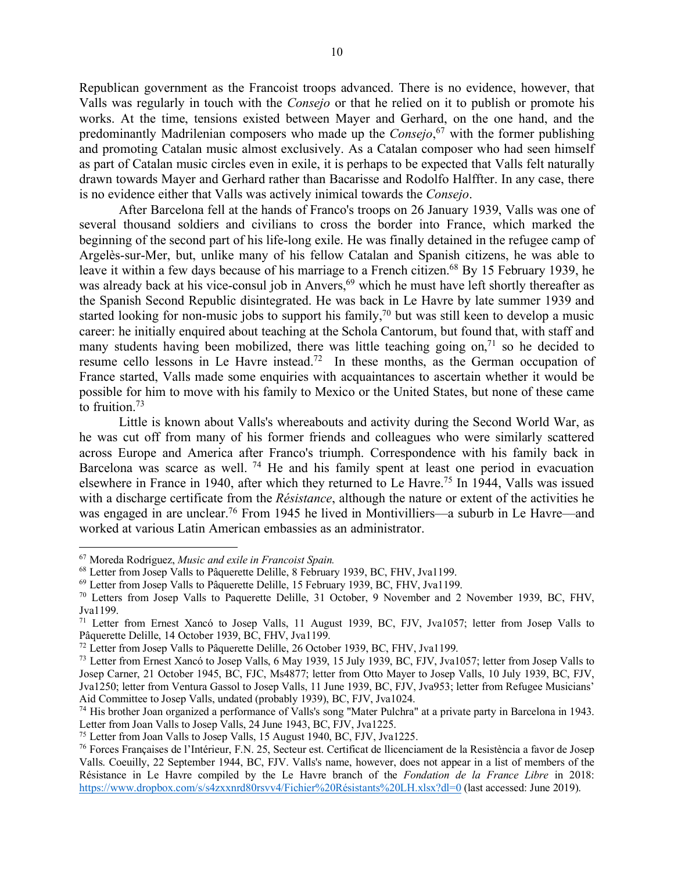Republican government as the Francoist troops advanced. There is no evidence, however, that Valls was regularly in touch with the *Consejo* or that he relied on it to publish or promote his works. At the time, tensions existed between Mayer and Gerhard, on the one hand, and the predominantly Madrilenian composers who made up the *Consejo*, <sup>67</sup> with the former publishing and promoting Catalan music almost exclusively. As a Catalan composer who had seen himself as part of Catalan music circles even in exile, it is perhaps to be expected that Valls felt naturally drawn towards Mayer and Gerhard rather than Bacarisse and Rodolfo Halffter. In any case, there is no evidence either that Valls was actively inimical towards the *Consejo*.

After Barcelona fell at the hands of Franco's troops on 26 January 1939, Valls was one of several thousand soldiers and civilians to cross the border into France, which marked the beginning of the second part of his life-long exile. He was finally detained in the refugee camp of Argelès-sur-Mer, but, unlike many of his fellow Catalan and Spanish citizens, he was able to leave it within a few days because of his marriage to a French citizen.<sup>68</sup> By 15 February 1939, he was already back at his vice-consul job in Anvers,<sup>69</sup> which he must have left shortly thereafter as the Spanish Second Republic disintegrated. He was back in Le Havre by late summer 1939 and started looking for non-music jobs to support his family,<sup>70</sup> but was still keen to develop a music career: he initially enquired about teaching at the Schola Cantorum, but found that, with staff and many students having been mobilized, there was little teaching going on,<sup> $71$ </sup> so he decided to resume cello lessons in Le Havre instead.72 In these months, as the German occupation of France started, Valls made some enquiries with acquaintances to ascertain whether it would be possible for him to move with his family to Mexico or the United States, but none of these came to fruition.73

Little is known about Valls's whereabouts and activity during the Second World War, as he was cut off from many of his former friends and colleagues who were similarly scattered across Europe and America after Franco's triumph. Correspondence with his family back in Barcelona was scarce as well. <sup>74</sup> He and his family spent at least one period in evacuation elsewhere in France in 1940, after which they returned to Le Havre.75 In 1944, Valls was issued with a discharge certificate from the *Résistance*, although the nature or extent of the activities he was engaged in are unclear.<sup>76</sup> From 1945 he lived in Montivilliers—a suburb in Le Havre—and worked at various Latin American embassies as an administrator.

<sup>67</sup> Moreda Rodríguez, *Music and exile in Francoist Spain.*

<sup>68</sup> Letter from Josep Valls to Pâquerette Delille, 8 February 1939, BC, FHV, Jva1199.

<sup>69</sup> Letter from Josep Valls to Pâquerette Delille, 15 February 1939, BC, FHV, Jva1199.

<sup>70</sup> Letters from Josep Valls to Paquerette Delille, 31 October, 9 November and 2 November 1939, BC, FHV, Jva1199.

<sup>&</sup>lt;sup>71</sup> Letter from Ernest Xancó to Josep Valls, 11 August 1939, BC, FJV, Jva1057; letter from Josep Valls to Pâquerette Delille, 14 October 1939, BC, FHV, Jva1199.

<sup>72</sup> Letter from Josep Valls to Pâquerette Delille, 26 October 1939, BC, FHV, Jva1199.

<sup>&</sup>lt;sup>73</sup> Letter from Ernest Xancó to Josep Valls, 6 May 1939, 15 July 1939, BC, FJV, Jva1057; letter from Josep Valls to Josep Carner, 21 October 1945, BC, FJC, Ms4877; letter from Otto Mayer to Josep Valls, 10 July 1939, BC, FJV, Jva1250; letter from Ventura Gassol to Josep Valls, 11 June 1939, BC, FJV, Jva953; letter from Refugee Musicians' Aid Committee to Josep Valls, undated (probably 1939), BC, FJV, Jva1024.

<sup>74</sup> His brother Joan organized a performance of Valls's song "Mater Pulchra" at a private party in Barcelona in 1943. Letter from Joan Valls to Josep Valls, 24 June 1943, BC, FJV, Jva1225.

<sup>75</sup> Letter from Joan Valls to Josep Valls, 15 August 1940, BC, FJV, Jva1225.

<sup>76</sup> Forces Françaises de l'Intérieur, F.N. 25, Secteur est. Certificat de llicenciament de la Resistència a favor de Josep Valls. Coeuilly, 22 September 1944, BC, FJV. Valls's name, however, does not appear in a list of members of the Résistance in Le Havre compiled by the Le Havre branch of the *Fondation de la France Libre* in 2018: https://www.dropbox.com/s/s4zxxnrd80rsvv4/Fichier%20Résistants%20LH.xlsx?dl=0 (last accessed: June 2019).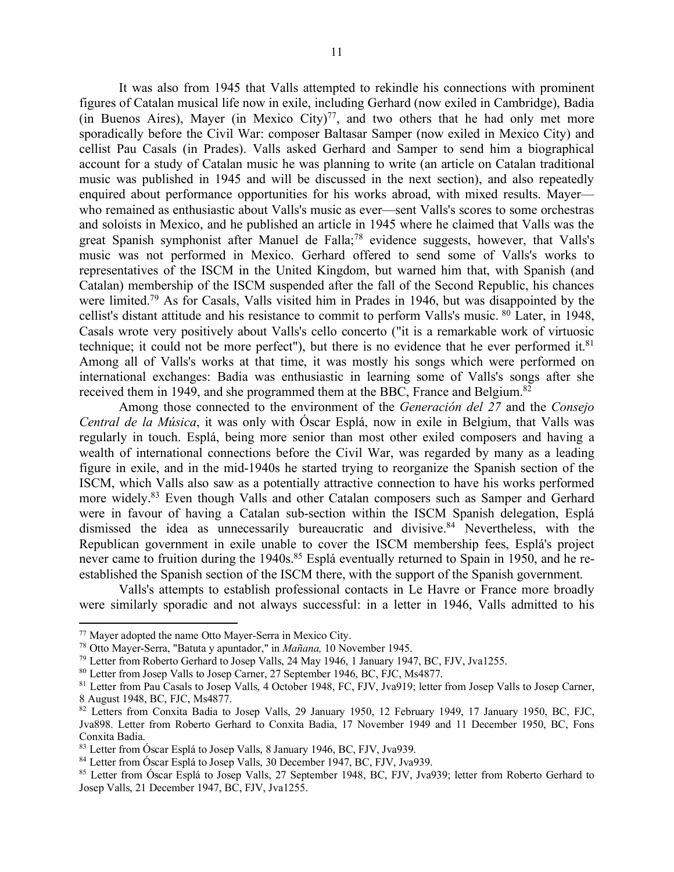It was also from 1945 that Valls attempted to rekindle his connections with prominent figures of Catalan musical life now in exile, including Gerhard (now exiled in Cambridge), Badia (in Buenos Aires), Mayer (in Mexico City) $77$ , and two others that he had only met more sporadically before the Civil War: composer Baltasar Samper (now exiled in Mexico City) and cellist Pau Casals (in Prades). Valls asked Gerhard and Samper to send him a biographical account for a study of Catalan music he was planning to write (an article on Catalan traditional music was published in 1945 and will be discussed in the next section), and also repeatedly enquired about performance opportunities for his works abroad, with mixed results. Mayer–– who remained as enthusiastic about Valls's music as ever––sent Valls's scores to some orchestras and soloists in Mexico, and he published an article in 1945 where he claimed that Valls was the great Spanish symphonist after Manuel de Falla;<sup>78</sup> evidence suggests, however, that Valls's music was not performed in Mexico. Gerhard offered to send some of Valls's works to representatives of the ISCM in the United Kingdom, but warned him that, with Spanish (and Catalan) membership of the ISCM suspended after the fall of the Second Republic, his chances were limited.<sup>79</sup> As for Casals, Valls visited him in Prades in 1946, but was disappointed by the cellist's distant attitude and his resistance to commit to perform Valls's music. <sup>80</sup> Later, in 1948, Casals wrote very positively about Valls's cello concerto ("it is a remarkable work of virtuosic technique; it could not be more perfect"), but there is no evidence that he ever performed it. $81$ Among all of Valls's works at that time, it was mostly his songs which were performed on international exchanges: Badia was enthusiastic in learning some of Valls's songs after she received them in 1949, and she programmed them at the BBC, France and Belgium.<sup>82</sup>

Among those connected to the environment of the *Generación del 27* and the *Consejo Central de la Música*, it was only with Óscar Esplá, now in exile in Belgium, that Valls was regularly in touch. Esplá, being more senior than most other exiled composers and having a wealth of international connections before the Civil War, was regarded by many as a leading figure in exile, and in the mid-1940s he started trying to reorganize the Spanish section of the ISCM, which Valls also saw as a potentially attractive connection to have his works performed more widely.83 Even though Valls and other Catalan composers such as Samper and Gerhard were in favour of having a Catalan sub-section within the ISCM Spanish delegation, Esplá dismissed the idea as unnecessarily bureaucratic and divisive. <sup>84</sup> Nevertheless, with the Republican government in exile unable to cover the ISCM membership fees, Esplá's project never came to fruition during the 1940s.<sup>85</sup> Esplá eventually returned to Spain in 1950, and he reestablished the Spanish section of the ISCM there, with the support of the Spanish government.

Valls's attempts to establish professional contacts in Le Havre or France more broadly were similarly sporadic and not always successful: in a letter in 1946, Valls admitted to his

 $\overline{\phantom{a}}$ 

<sup>77</sup> Mayer adopted the name Otto Mayer-Serra in Mexico City.

<sup>78</sup> Otto Mayer-Serra, "Batuta y apuntador," in *Mañana,* 10 November 1945.

<sup>79</sup> Letter from Roberto Gerhard to Josep Valls, 24 May 1946, 1 January 1947, BC, FJV, Jva1255.

<sup>80</sup> Letter from Josep Valls to Josep Carner, 27 September 1946, BC, FJC, Ms4877.

<sup>81</sup> Letter from Pau Casals to Josep Valls, 4 October 1948, FC, FJV, Jva919; letter from Josep Valls to Josep Carner, 8 August 1948, BC, FJC, Ms4877.

<sup>82</sup> Letters from Conxita Badia to Josep Valls, 29 January 1950, 12 February 1949, 17 January 1950, BC, FJC, Jva898. Letter from Roberto Gerhard to Conxita Badia, 17 November 1949 and 11 December 1950, BC, Fons Conxita Badia.

<sup>83</sup> Letter from Óscar Esplá to Josep Valls, 8 January 1946, BC, FJV, Jva939.

<sup>84</sup> Letter from Óscar Esplá to Josep Valls, 30 December 1947, BC, FJV, Jva939.

<sup>&</sup>lt;sup>85</sup> Letter from Óscar Esplá to Josep Valls, 27 September 1948, BC, FJV, Jva939; letter from Roberto Gerhard to Josep Valls, 21 December 1947, BC, FJV, Jva1255.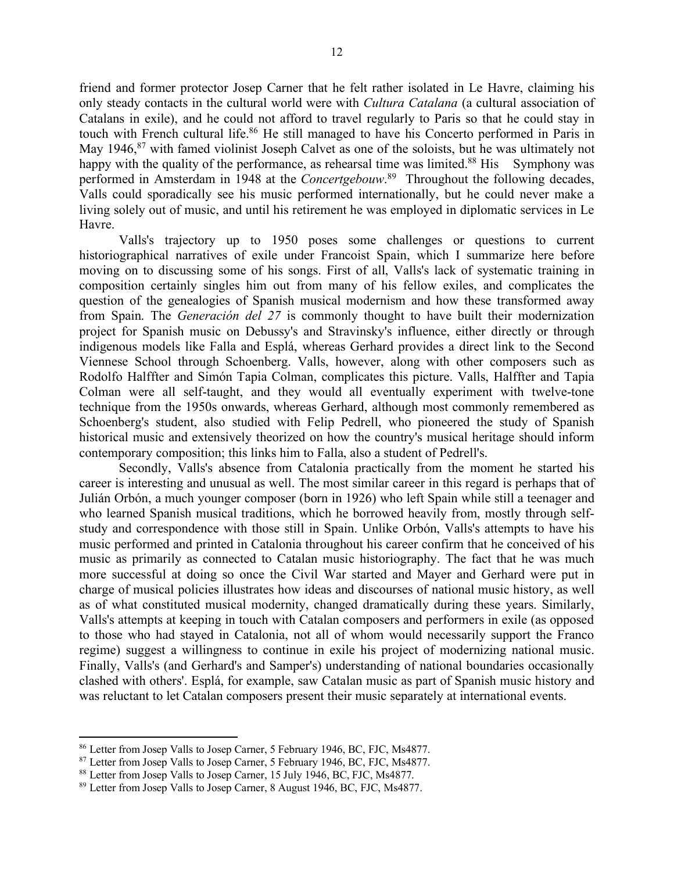friend and former protector Josep Carner that he felt rather isolated in Le Havre, claiming his only steady contacts in the cultural world were with *Cultura Catalana* (a cultural association of Catalans in exile), and he could not afford to travel regularly to Paris so that he could stay in touch with French cultural life.<sup>86</sup> He still managed to have his Concerto performed in Paris in May 1946,<sup>87</sup> with famed violinist Joseph Calvet as one of the soloists, but he was ultimately not happy with the quality of the performance, as rehearsal time was limited.<sup>88</sup> His Symphony was performed in Amsterdam in 1948 at the *Concertgebouw*. 89 Throughout the following decades, Valls could sporadically see his music performed internationally, but he could never make a living solely out of music, and until his retirement he was employed in diplomatic services in Le Havre.

Valls's trajectory up to 1950 poses some challenges or questions to current historiographical narratives of exile under Francoist Spain, which I summarize here before moving on to discussing some of his songs. First of all, Valls's lack of systematic training in composition certainly singles him out from many of his fellow exiles, and complicates the question of the genealogies of Spanish musical modernism and how these transformed away from Spain. The *Generación del 27* is commonly thought to have built their modernization project for Spanish music on Debussy's and Stravinsky's influence, either directly or through indigenous models like Falla and Esplá, whereas Gerhard provides a direct link to the Second Viennese School through Schoenberg. Valls, however, along with other composers such as Rodolfo Halffter and Simón Tapia Colman, complicates this picture. Valls, Halffter and Tapia Colman were all self-taught, and they would all eventually experiment with twelve-tone technique from the 1950s onwards, whereas Gerhard, although most commonly remembered as Schoenberg's student, also studied with Felip Pedrell, who pioneered the study of Spanish historical music and extensively theorized on how the country's musical heritage should inform contemporary composition; this links him to Falla, also a student of Pedrell's.

Secondly, Valls's absence from Catalonia practically from the moment he started his career is interesting and unusual as well. The most similar career in this regard is perhaps that of Julián Orbón, a much younger composer (born in 1926) who left Spain while still a teenager and who learned Spanish musical traditions, which he borrowed heavily from, mostly through selfstudy and correspondence with those still in Spain. Unlike Orbón, Valls's attempts to have his music performed and printed in Catalonia throughout his career confirm that he conceived of his music as primarily as connected to Catalan music historiography. The fact that he was much more successful at doing so once the Civil War started and Mayer and Gerhard were put in charge of musical policies illustrates how ideas and discourses of national music history, as well as of what constituted musical modernity, changed dramatically during these years. Similarly, Valls's attempts at keeping in touch with Catalan composers and performers in exile (as opposed to those who had stayed in Catalonia, not all of whom would necessarily support the Franco regime) suggest a willingness to continue in exile his project of modernizing national music. Finally, Valls's (and Gerhard's and Samper's) understanding of national boundaries occasionally clashed with others'. Esplá, for example, saw Catalan music as part of Spanish music history and was reluctant to let Catalan composers present their music separately at international events.

<sup>86</sup> Letter from Josep Valls to Josep Carner, 5 February 1946, BC, FJC, Ms4877.

<sup>87</sup> Letter from Josep Valls to Josep Carner, 5 February 1946, BC, FJC, Ms4877.

<sup>88</sup> Letter from Josep Valls to Josep Carner, 15 July 1946, BC, FJC, Ms4877.

<sup>89</sup> Letter from Josep Valls to Josep Carner, 8 August 1946, BC, FJC, Ms4877.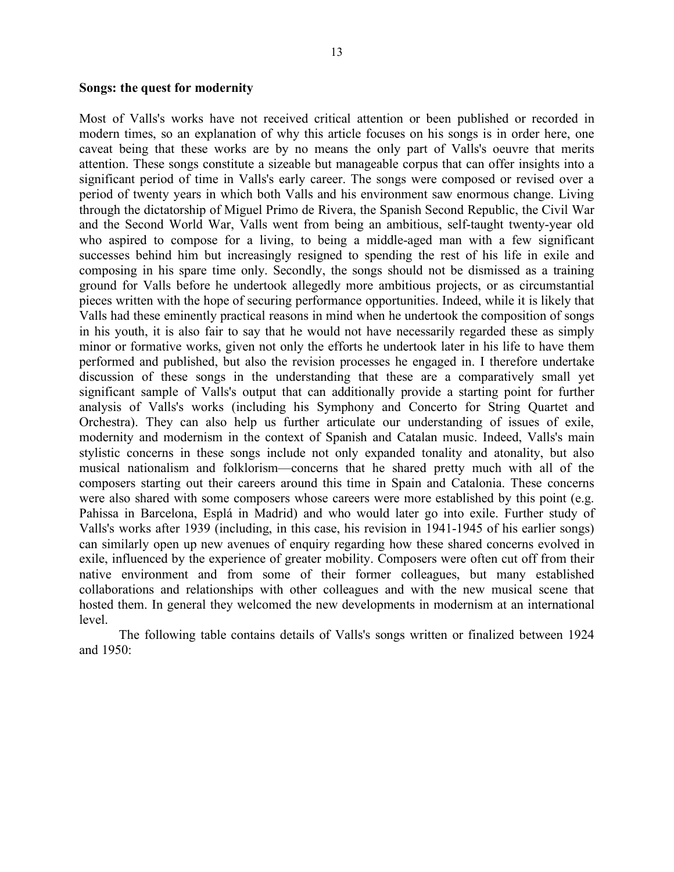Most of Valls's works have not received critical attention or been published or recorded in modern times, so an explanation of why this article focuses on his songs is in order here, one caveat being that these works are by no means the only part of Valls's oeuvre that merits attention. These songs constitute a sizeable but manageable corpus that can offer insights into a significant period of time in Valls's early career. The songs were composed or revised over a period of twenty years in which both Valls and his environment saw enormous change. Living through the dictatorship of Miguel Primo de Rivera, the Spanish Second Republic, the Civil War and the Second World War, Valls went from being an ambitious, self-taught twenty-year old who aspired to compose for a living, to being a middle-aged man with a few significant successes behind him but increasingly resigned to spending the rest of his life in exile and composing in his spare time only. Secondly, the songs should not be dismissed as a training ground for Valls before he undertook allegedly more ambitious projects, or as circumstantial pieces written with the hope of securing performance opportunities. Indeed, while it is likely that Valls had these eminently practical reasons in mind when he undertook the composition of songs in his youth, it is also fair to say that he would not have necessarily regarded these as simply minor or formative works, given not only the efforts he undertook later in his life to have them performed and published, but also the revision processes he engaged in. I therefore undertake discussion of these songs in the understanding that these are a comparatively small yet significant sample of Valls's output that can additionally provide a starting point for further analysis of Valls's works (including his Symphony and Concerto for String Quartet and Orchestra). They can also help us further articulate our understanding of issues of exile, modernity and modernism in the context of Spanish and Catalan music. Indeed, Valls's main stylistic concerns in these songs include not only expanded tonality and atonality, but also musical nationalism and folklorism––concerns that he shared pretty much with all of the composers starting out their careers around this time in Spain and Catalonia. These concerns were also shared with some composers whose careers were more established by this point (e.g. Pahissa in Barcelona, Esplá in Madrid) and who would later go into exile. Further study of Valls's works after 1939 (including, in this case, his revision in 1941-1945 of his earlier songs) can similarly open up new avenues of enquiry regarding how these shared concerns evolved in exile, influenced by the experience of greater mobility. Composers were often cut off from their native environment and from some of their former colleagues, but many established collaborations and relationships with other colleagues and with the new musical scene that hosted them. In general they welcomed the new developments in modernism at an international level.

The following table contains details of Valls's songs written or finalized between 1924 and 1950: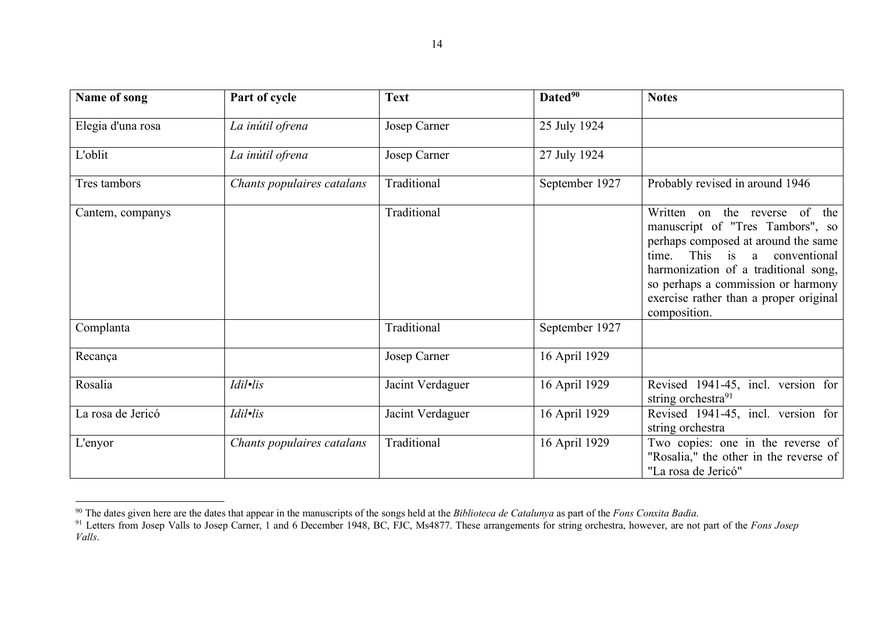| Name of song      | Part of cycle              | <b>Text</b>      | Dated <sup>90</sup> | <b>Notes</b>                                                                                                                                                                                                                                                                        |
|-------------------|----------------------------|------------------|---------------------|-------------------------------------------------------------------------------------------------------------------------------------------------------------------------------------------------------------------------------------------------------------------------------------|
| Elegia d'una rosa | La inútil ofrena           | Josep Carner     | 25 July 1924        |                                                                                                                                                                                                                                                                                     |
| L'oblit           | La inútil ofrena           | Josep Carner     | 27 July 1924        |                                                                                                                                                                                                                                                                                     |
| Tres tambors      | Chants populaires catalans | Traditional      | September 1927      | Probably revised in around 1946                                                                                                                                                                                                                                                     |
| Cantem, companys  |                            | Traditional      |                     | Written on the reverse of the<br>manuscript of "Tres Tambors", so<br>perhaps composed at around the same<br>This is a conventional<br>time.<br>harmonization of a traditional song,<br>so perhaps a commission or harmony<br>exercise rather than a proper original<br>composition. |
| Complanta         |                            | Traditional      | September 1927      |                                                                                                                                                                                                                                                                                     |
| Recança           |                            | Josep Carner     | 16 April 1929       |                                                                                                                                                                                                                                                                                     |
| Rosalia           | Idil•lis                   | Jacint Verdaguer | 16 April 1929       | Revised 1941-45, incl. version for<br>string orchestra <sup>91</sup>                                                                                                                                                                                                                |
| La rosa de Jericó | Idil•lis                   | Jacint Verdaguer | 16 April 1929       | Revised 1941-45, incl. version for<br>string orchestra                                                                                                                                                                                                                              |
| L'enyor           | Chants populaires catalans | Traditional      | 16 April 1929       | Two copies: one in the reverse of<br>"Rosalia," the other in the reverse of<br>"La rosa de Jericó"                                                                                                                                                                                  |

<sup>90</sup> The dates given here are the dates that appear in the manuscripts of the songs held at the *Biblioteca de Catalunya* as part of the *Fons Conxita Badia*.

<sup>91</sup> Letters from Josep Valls to Josep Carner, 1 and 6 December 1948, BC, FJC, Ms4877. These arrangements for string orchestra, however, are not part of the *Fons Josep Valls*.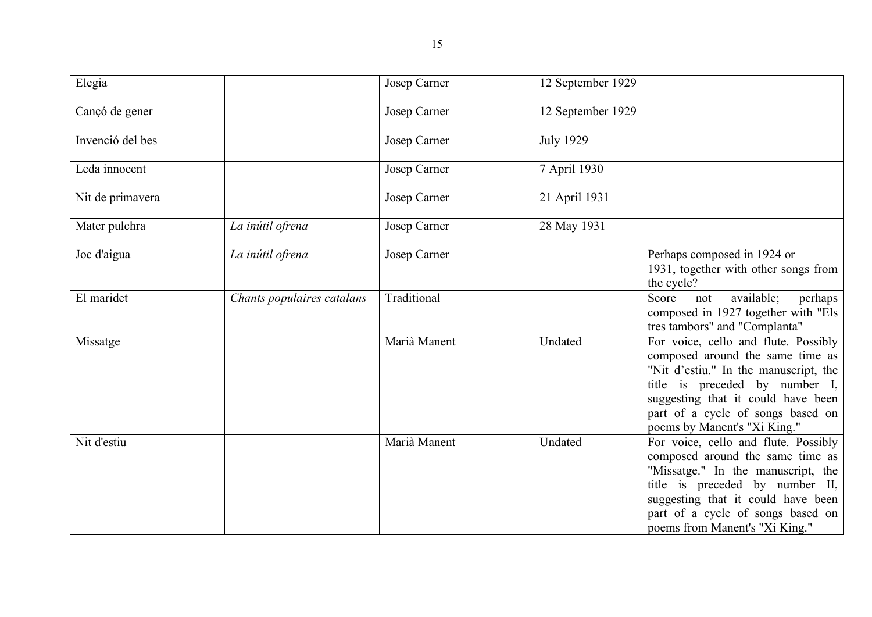| Elegia           |                            | <b>Josep Carner</b> | 12 September 1929 |                                                                                                                                                                                                                                                                  |
|------------------|----------------------------|---------------------|-------------------|------------------------------------------------------------------------------------------------------------------------------------------------------------------------------------------------------------------------------------------------------------------|
| Cançó de gener   |                            | Josep Carner        | 12 September 1929 |                                                                                                                                                                                                                                                                  |
| Invenció del bes |                            | Josep Carner        | <b>July 1929</b>  |                                                                                                                                                                                                                                                                  |
| Leda innocent    |                            | Josep Carner        | 7 April 1930      |                                                                                                                                                                                                                                                                  |
| Nit de primavera |                            | Josep Carner        | 21 April 1931     |                                                                                                                                                                                                                                                                  |
| Mater pulchra    | La inútil ofrena           | Josep Carner        | 28 May 1931       |                                                                                                                                                                                                                                                                  |
| Joc d'aigua      | La inútil ofrena           | Josep Carner        |                   | Perhaps composed in 1924 or<br>1931, together with other songs from<br>the cycle?                                                                                                                                                                                |
| El maridet       | Chants populaires catalans | Traditional         |                   | available;<br>Score<br>perhaps<br>not<br>composed in 1927 together with "Els<br>tres tambors" and "Complanta"                                                                                                                                                    |
| Missatge         |                            | Marià Manent        | Undated           | For voice, cello and flute. Possibly<br>composed around the same time as<br>"Nit d'estiu." In the manuscript, the<br>title is preceded by number $I,$<br>suggesting that it could have been<br>part of a cycle of songs based on<br>poems by Manent's "Xi King." |
| Nit d'estiu      |                            | Marià Manent        | Undated           | For voice, cello and flute. Possibly<br>composed around the same time as<br>"Missatge." In the manuscript, the<br>title is preceded by number II,<br>suggesting that it could have been<br>part of a cycle of songs based on<br>poems from Manent's "Xi King."   |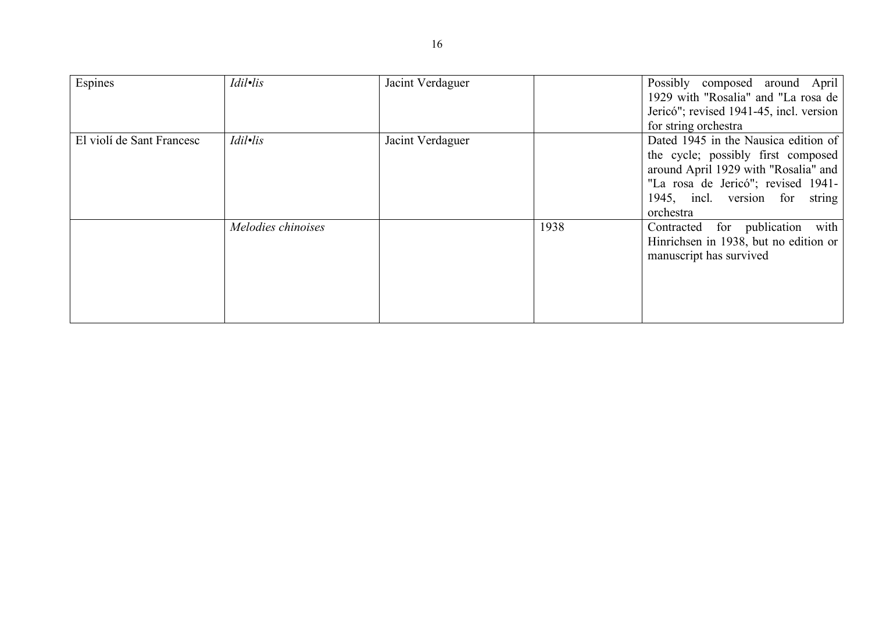| Espines                   | Idil·lis           | Jacint Verdaguer |      | Possibly composed around April<br>1929 with "Rosalia" and "La rosa de  <br>Jericó"; revised 1941-45, incl. version<br>for string orchestra                                                              |
|---------------------------|--------------------|------------------|------|---------------------------------------------------------------------------------------------------------------------------------------------------------------------------------------------------------|
| El violí de Sant Francesc | Idil•lis           | Jacint Verdaguer |      | Dated 1945 in the Nausica edition of<br>the cycle; possibly first composed<br>around April 1929 with "Rosalia" and<br>"La rosa de Jericó"; revised 1941-<br>1945, incl. version for string<br>orchestra |
|                           | Melodies chinoises |                  | 1938 | Contracted for publication with<br>Hinrichsen in 1938, but no edition or<br>manuscript has survived                                                                                                     |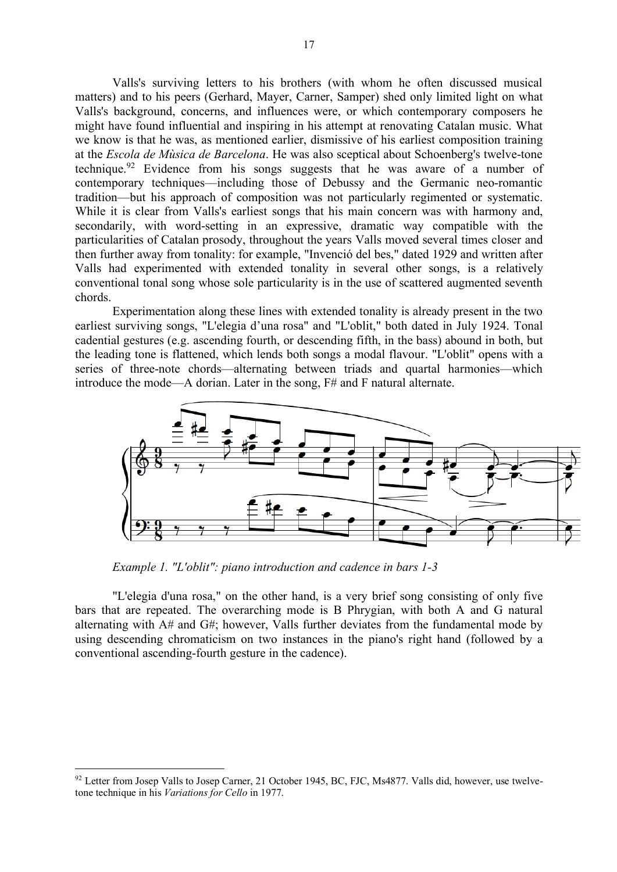Valls's surviving letters to his brothers (with whom he often discussed musical matters) and to his peers (Gerhard, Mayer, Carner, Samper) shed only limited light on what Valls's background, concerns, and influences were, or which contemporary composers he might have found influential and inspiring in his attempt at renovating Catalan music. What we know is that he was, as mentioned earlier, dismissive of his earliest composition training at the *Escola de Mùsica de Barcelona*. He was also sceptical about Schoenberg's twelve-tone technique.<sup>92</sup> Evidence from his songs suggests that he was aware of a number of contemporary techniques––including those of Debussy and the Germanic neo-romantic tradition––but his approach of composition was not particularly regimented or systematic. While it is clear from Valls's earliest songs that his main concern was with harmony and, secondarily, with word-setting in an expressive, dramatic way compatible with the particularities of Catalan prosody, throughout the years Valls moved several times closer and then further away from tonality: for example, "Invenció del bes," dated 1929 and written after Valls had experimented with extended tonality in several other songs, is a relatively conventional tonal song whose sole particularity is in the use of scattered augmented seventh chords.

Experimentation along these lines with extended tonality is already present in the two earliest surviving songs, "L'elegia d'una rosa" and "L'oblit," both dated in July 1924. Tonal cadential gestures (e.g. ascending fourth, or descending fifth, in the bass) abound in both, but the leading tone is flattened, which lends both songs a modal flavour. "L'oblit" opens with a series of three-note chords––alternating between triads and quartal harmonies––which introduce the mode––A dorian. Later in the song, F# and F natural alternate.



*Example 1. "L'oblit": piano introduction and cadence in bars 1-3*

"L'elegia d'una rosa," on the other hand, is a very brief song consisting of only five bars that are repeated. The overarching mode is B Phrygian, with both A and G natural alternating with A# and G#; however, Valls further deviates from the fundamental mode by using descending chromaticism on two instances in the piano's right hand (followed by a conventional ascending-fourth gesture in the cadence).

<sup>&</sup>lt;sup>92</sup> Letter from Josep Valls to Josep Carner, 21 October 1945, BC, FJC, Ms4877. Valls did, however, use twelvetone technique in his *Variations for Cello* in 1977.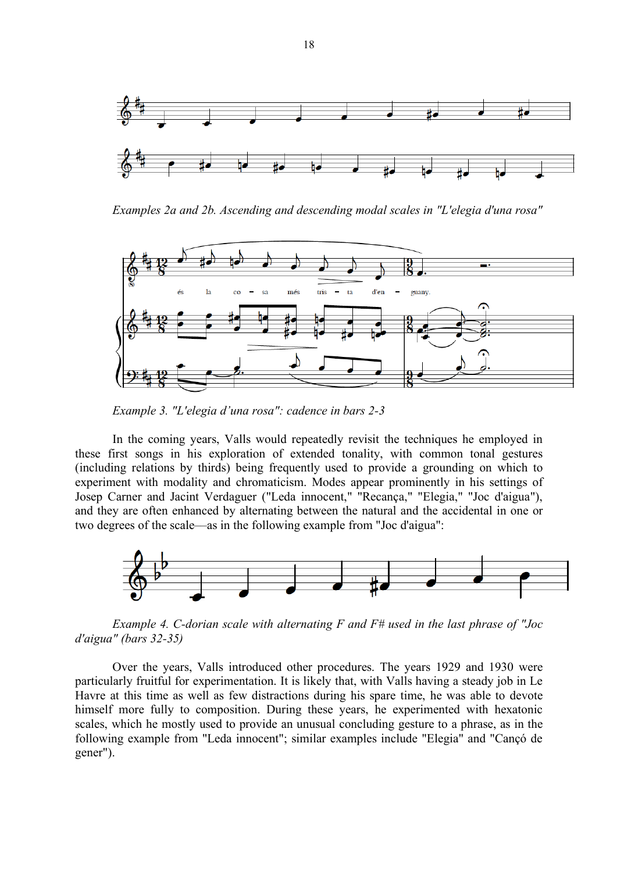

*Examples 2a and 2b. Ascending and descending modal scales in "L'elegia d'una rosa"*



*Example 3. "L'elegia d'una rosa": cadence in bars 2-3*

In the coming years, Valls would repeatedly revisit the techniques he employed in these first songs in his exploration of extended tonality, with common tonal gestures (including relations by thirds) being frequently used to provide a grounding on which to experiment with modality and chromaticism. Modes appear prominently in his settings of Josep Carner and Jacint Verdaguer ("Leda innocent," "Recança," "Elegia," "Joc d'aigua"), and they are often enhanced by alternating between the natural and the accidental in one or two degrees of the scale––as in the following example from "Joc d'aigua":



*Example 4. C-dorian scale with alternating F and F# used in the last phrase of "Joc d'aigua" (bars 32-35)*

Over the years, Valls introduced other procedures. The years 1929 and 1930 were particularly fruitful for experimentation. It is likely that, with Valls having a steady job in Le Havre at this time as well as few distractions during his spare time, he was able to devote himself more fully to composition. During these years, he experimented with hexatonic scales, which he mostly used to provide an unusual concluding gesture to a phrase, as in the following example from "Leda innocent"; similar examples include "Elegia" and "Cançó de gener").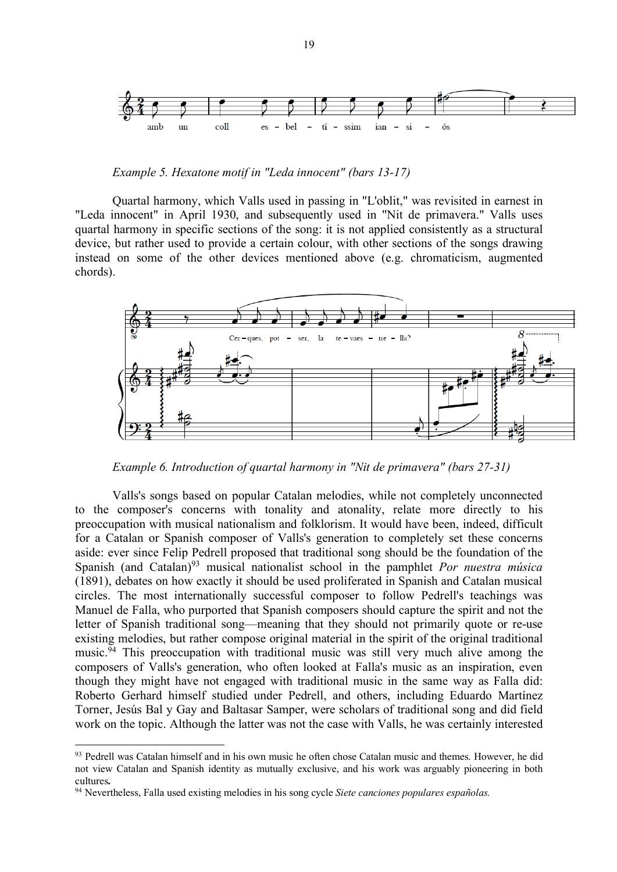

*Example 5. Hexatone motif in "Leda innocent" (bars 13-17)* 

Quartal harmony, which Valls used in passing in "L'oblit," was revisited in earnest in "Leda innocent" in April 1930, and subsequently used in "Nit de primavera." Valls uses quartal harmony in specific sections of the song: it is not applied consistently as a structural device, but rather used to provide a certain colour, with other sections of the songs drawing instead on some of the other devices mentioned above (e.g. chromaticism, augmented chords).



*Example 6. Introduction of quartal harmony in "Nit de primavera" (bars 27-31)*

Valls's songs based on popular Catalan melodies, while not completely unconnected to the composer's concerns with tonality and atonality, relate more directly to his preoccupation with musical nationalism and folklorism. It would have been, indeed, difficult for a Catalan or Spanish composer of Valls's generation to completely set these concerns aside: ever since Felip Pedrell proposed that traditional song should be the foundation of the Spanish (and Catalan)<sup>93</sup> musical nationalist school in the pamphlet *Por nuestra música* (1891), debates on how exactly it should be used proliferated in Spanish and Catalan musical circles. The most internationally successful composer to follow Pedrell's teachings was Manuel de Falla, who purported that Spanish composers should capture the spirit and not the letter of Spanish traditional song––meaning that they should not primarily quote or re-use existing melodies, but rather compose original material in the spirit of the original traditional music.<sup> $\bar{9}4$ </sup> This preoccupation with traditional music was still very much alive among the composers of Valls's generation, who often looked at Falla's music as an inspiration, even though they might have not engaged with traditional music in the same way as Falla did: Roberto Gerhard himself studied under Pedrell, and others, including Eduardo Martínez Torner, Jesús Bal y Gay and Baltasar Samper, were scholars of traditional song and did field work on the topic. Although the latter was not the case with Valls, he was certainly interested

<sup>&</sup>lt;sup>93</sup> Pedrell was Catalan himself and in his own music he often chose Catalan music and themes. However, he did not view Catalan and Spanish identity as mutually exclusive, and his work was arguably pioneering in both cultures**.**

<sup>94</sup> Nevertheless, Falla used existing melodies in his song cycle *Siete canciones populares españolas.*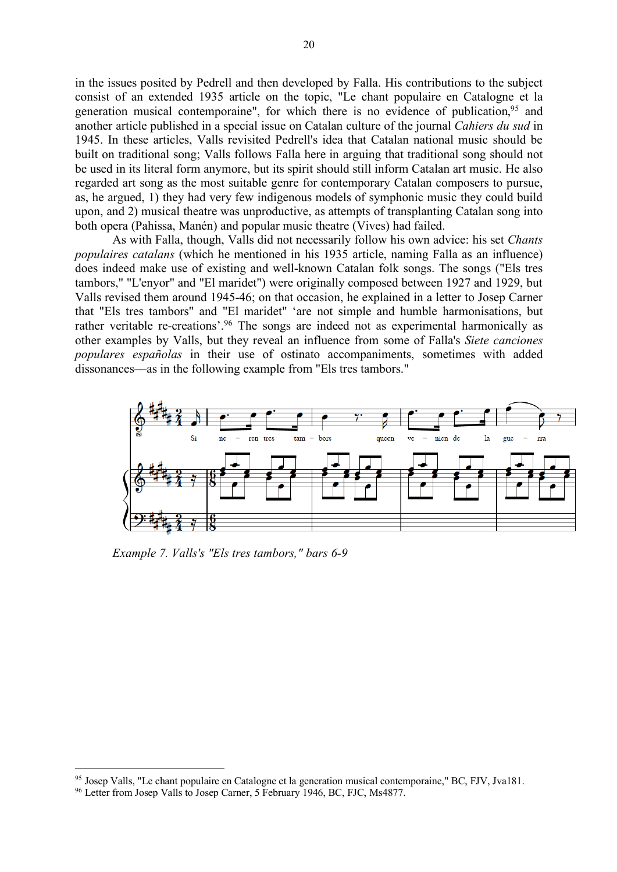in the issues posited by Pedrell and then developed by Falla. His contributions to the subject consist of an extended 1935 article on the topic, "Le chant populaire en Catalogne et la generation musical contemporaine", for which there is no evidence of publication,<sup>95</sup> and another article published in a special issue on Catalan culture of the journal *Cahiers du sud* in 1945. In these articles, Valls revisited Pedrell's idea that Catalan national music should be built on traditional song; Valls follows Falla here in arguing that traditional song should not be used in its literal form anymore, but its spirit should still inform Catalan art music. He also regarded art song as the most suitable genre for contemporary Catalan composers to pursue, as, he argued, 1) they had very few indigenous models of symphonic music they could build upon, and 2) musical theatre was unproductive, as attempts of transplanting Catalan song into both opera (Pahissa, Manén) and popular music theatre (Vives) had failed.

As with Falla, though, Valls did not necessarily follow his own advice: his set *Chants populaires catalans* (which he mentioned in his 1935 article, naming Falla as an influence) does indeed make use of existing and well-known Catalan folk songs. The songs ("Els tres tambors," "L'enyor" and "El maridet") were originally composed between 1927 and 1929, but Valls revised them around 1945-46; on that occasion, he explained in a letter to Josep Carner that "Els tres tambors" and "El maridet" 'are not simple and humble harmonisations, but rather veritable re-creations'.<sup>96</sup> The songs are indeed not as experimental harmonically as other examples by Valls, but they reveal an influence from some of Falla's *Siete canciones populares españolas* in their use of ostinato accompaniments, sometimes with added dissonances––as in the following example from "Els tres tambors."



*Example 7. Valls's "Els tres tambors," bars 6-9*

<sup>95</sup> Josep Valls, "Le chant populaire en Catalogne et la generation musical contemporaine," BC, FJV, Jva181.

<sup>&</sup>lt;sup>96</sup> Letter from Josep Valls to Josep Carner, 5 February 1946, BC, FJC, Ms4877.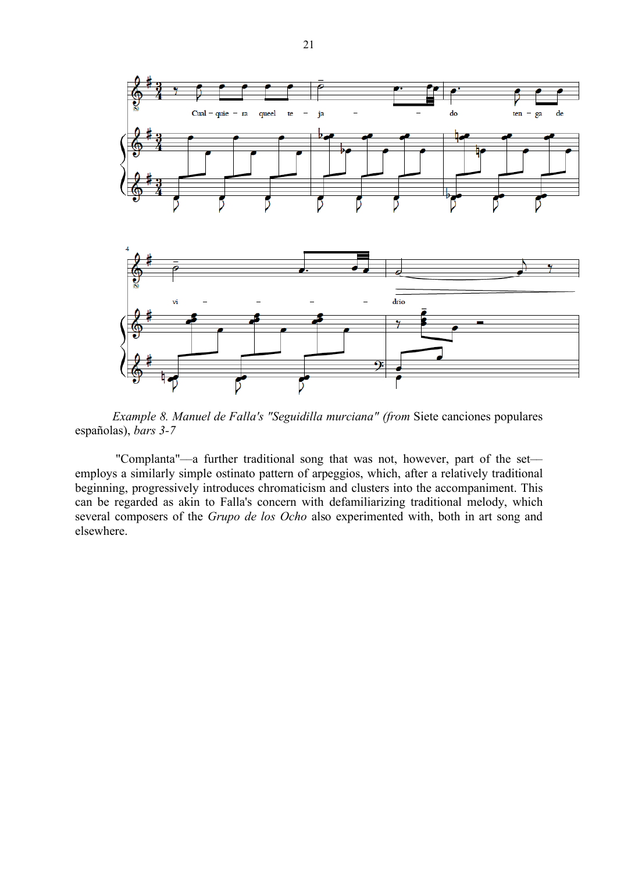

*Example 8. Manuel de Falla's "Seguidilla murciana" (from* Siete canciones populares españolas), *bars 3-7*

"Complanta"-a further traditional song that was not, however, part of the setemploys a similarly simple ostinato pattern of arpeggios, which, after a relatively traditional beginning, progressively introduces chromaticism and clusters into the accompaniment. This can be regarded as akin to Falla's concern with defamiliarizing traditional melody, which several composers of the *Grupo de los Ocho* also experimented with, both in art song and elsewhere.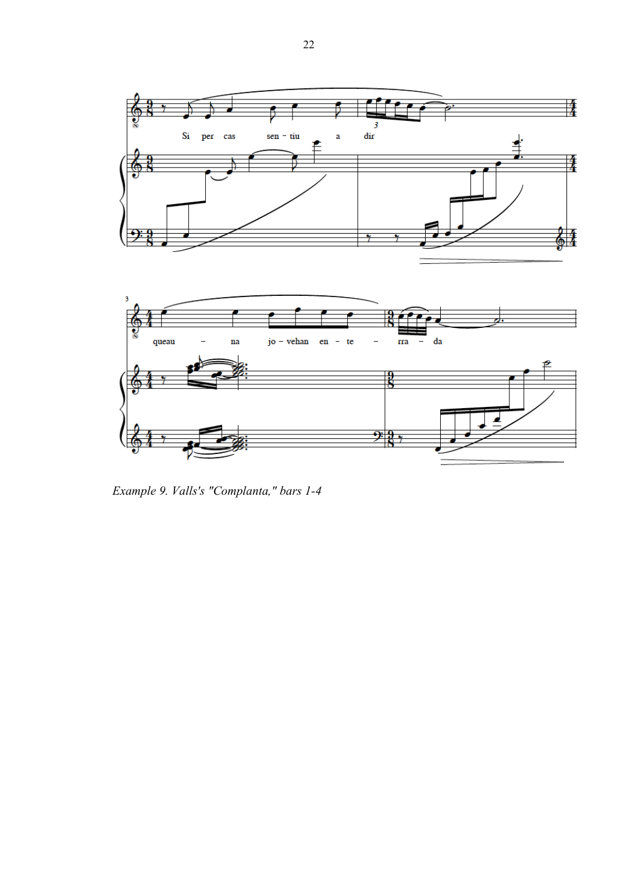

*Example 9. Valls's "Complanta," bars 1-4*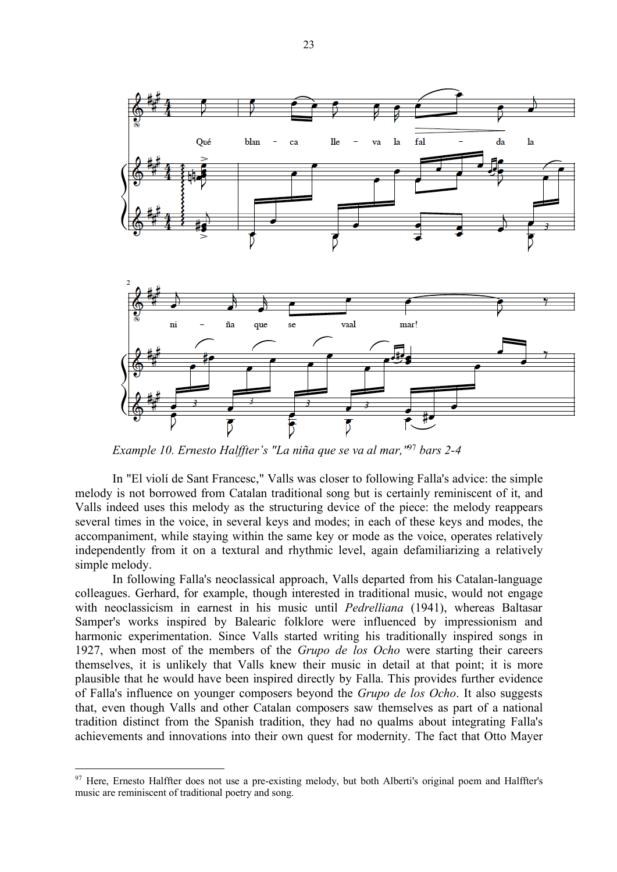

*Example 10. Ernesto Halffter's "La niña que se va al mar,"*<sup>97</sup> *bars 2-4*

In "El violí de Sant Francesc," Valls was closer to following Falla's advice: the simple melody is not borrowed from Catalan traditional song but is certainly reminiscent of it, and Valls indeed uses this melody as the structuring device of the piece: the melody reappears several times in the voice, in several keys and modes; in each of these keys and modes, the accompaniment, while staying within the same key or mode as the voice, operates relatively independently from it on a textural and rhythmic level, again defamiliarizing a relatively simple melody.

In following Falla's neoclassical approach, Valls departed from his Catalan-language colleagues. Gerhard, for example, though interested in traditional music, would not engage with neoclassicism in earnest in his music until *Pedrelliana* (1941), whereas Baltasar Samper's works inspired by Balearic folklore were influenced by impressionism and harmonic experimentation. Since Valls started writing his traditionally inspired songs in 1927, when most of the members of the *Grupo de los Ocho* were starting their careers themselves, it is unlikely that Valls knew their music in detail at that point; it is more plausible that he would have been inspired directly by Falla. This provides further evidence of Falla's influence on younger composers beyond the *Grupo de los Ocho*. It also suggests that, even though Valls and other Catalan composers saw themselves as part of a national tradition distinct from the Spanish tradition, they had no qualms about integrating Falla's achievements and innovations into their own quest for modernity. The fact that Otto Mayer

<sup>&</sup>lt;sup>97</sup> Here, Ernesto Halffter does not use a pre-existing melody, but both Alberti's original poem and Halffter's music are reminiscent of traditional poetry and song.